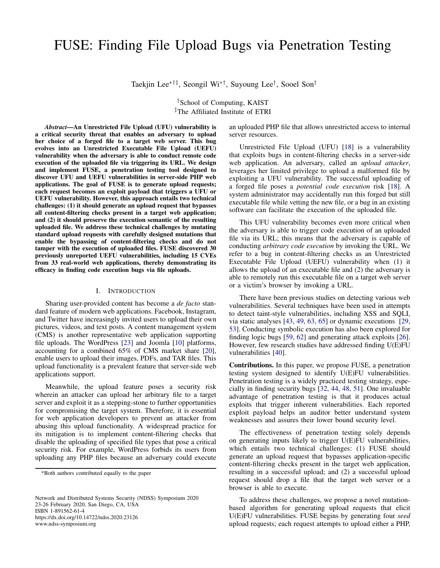Taekjin Lee∗†‡, Seongil Wi∗†, Suyoung Lee† , Sooel Son†

†School of Computing, KAIST ‡The Affiliated Institute of ETRI

*Abstract*—An Unrestricted File Upload (UFU) vulnerability is a critical security threat that enables an adversary to upload her choice of a forged file to a target web server. This bug evolves into an Unrestricted Executable File Upload (UEFU) vulnerability when the adversary is able to conduct remote code execution of the uploaded file via triggering its URL. We design and implement FUSE, a penetration testing tool designed to discover UFU and UEFU vulnerabilities in server-side PHP web applications. The goal of FUSE is to generate upload requests; each request becomes an exploit payload that triggers a UFU or UEFU vulnerability. However, this approach entails two technical challenges: (1) it should generate an upload request that bypasses all content-filtering checks present in a target web application; and (2) it should preserve the execution semantic of the resulting uploaded file. We address these technical challenges by mutating standard upload requests with carefully designed mutations that enable the bypassing of content-filtering checks and do not tamper with the execution of uploaded files. FUSE discovered 30 previously unreported UEFU vulnerabilities, including 15 CVEs from 33 real-world web applications, thereby demonstrating its efficacy in finding code execution bugs via file uploads.

## I. INTRODUCTION

Sharing user-provided content has become a *de facto* standard feature of modern web applications. Facebook, Instagram, and Twitter have increasingly invited users to upload their own pictures, videos, and text posts. A content management system (CMS) is another representative web application supporting file uploads. The WordPress [\[23\]](#page-15-0) and Joomla [\[10\]](#page-14-0) platforms, accounting for a combined 65% of CMS market share [\[20\]](#page-15-1), enable users to upload their images, PDFs, and TAR files. This upload functionality is a prevalent feature that server-side web applications support.

Meanwhile, the upload feature poses a security risk wherein an attacker can upload her arbitrary file to a target server and exploit it as a stepping-stone to further opportunities for compromising the target system. Therefore, it is essential for web application developers to prevent an attacker from abusing this upload functionality. A widespread practice for its mitigation is to implement content-filtering checks that disable the uploading of specified file types that pose a critical security risk. For example, WordPress forbids its users from uploading any PHP files because an adversary could execute

Network and Distributed Systems Security (NDSS) Symposium 2020 23-26 February 2020, San Diego, CA, USA ISBN 1-891562-61-4 https://dx.doi.org/10.14722/ndss.2020.23126 www.ndss-symposium.org

an uploaded PHP file that allows unrestricted access to internal server resources.

Unrestricted File Upload (UFU) [\[18\]](#page-15-2) is a vulnerability that exploits bugs in content-filtering checks in a server-side web application. An adversary, called an *upload attacker*, leverages her limited privilege to upload a malformed file by exploiting a UFU vulnerability. The successful uploading of a forged file poses a *potential code execution* risk [\[18\]](#page-15-2). A system administrator may accidentally run this forged but still executable file while vetting the new file, or a bug in an existing software can facilitate the execution of the uploaded file.

This UFU vulnerability becomes even more critical when the adversary is able to trigger code execution of an uploaded file via its URL; this means that the adversary is capable of conducting *arbitrary code execution* by invoking the URL. We refer to a bug in content-filtering checks as an Unrestricted Executable File Upload (UEFU) vulnerability when (1) it allows the upload of an executable file and (2) the adversary is able to remotely run this executable file on a target web server or a victim's browser by invoking a URL.

There have been previous studies on detecting various web vulnerabilities. Several techniques have been used in attempts to detect taint-style vulnerabilities, including XSS and SQLI, via static analyses [\[43,](#page-15-3) [49,](#page-15-4) [63,](#page-16-0) [65\]](#page-16-1) or dynamic executions [\[29,](#page-15-5) [53\]](#page-15-6). Conducting symbolic execution has also been explored for finding logic bugs [\[59,](#page-16-2) [62\]](#page-16-3) and generating attack exploits [\[26\]](#page-15-7). However, few research studies have addressed finding U(E)FU vulnerabilities [\[40\]](#page-15-8).

Contributions. In this paper, we propose FUSE, a penetration testing system designed to identify U(E)FU vulnerabilities. Penetration testing is a widely practiced testing strategy, especially in finding security bugs [\[32,](#page-15-9) [44,](#page-15-10) [48,](#page-15-11) [51\]](#page-15-12). One invaluable advantage of penetration testing is that it produces actual exploits that trigger inherent vulnerabilities. Each reported exploit payload helps an auditor better understand system weaknesses and assures their lower bound security level.

The effectiveness of penetration testing solely depends on generating inputs likely to trigger U(E)FU vulnerabilities, which entails two technical challenges: (1) FUSE should generate an upload request that bypasses application-specific content-filtering checks present in the target web application, resulting in a successful upload; and (2) a successful upload request should drop a file that the target web server or a browser is able to execute.

To address these challenges, we propose a novel mutationbased algorithm for generating upload requests that elicit U(E)FU vulnerabilities. FUSE begins by generating four *seed* upload requests; each request attempts to upload either a PHP,

<sup>\*</sup>Both authors contributed equally to the paper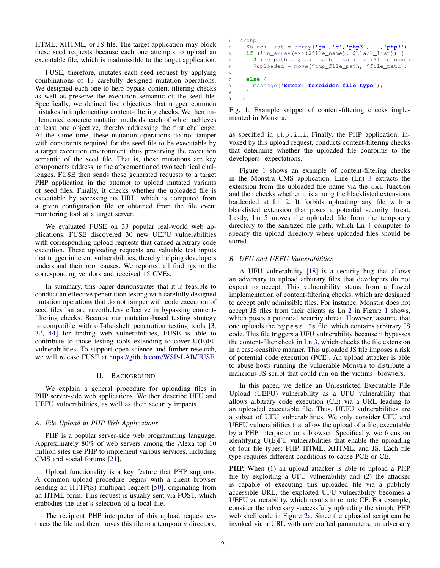HTML, XHTML, or JS file. The target application may block these seed requests because each one attempts to upload an executable file, which is inadmissible to the target application.

FUSE, therefore, mutates each seed request by applying combinations of 13 carefully designed mutation operations. We designed each one to help bypass content-filtering checks as well as preserve the execution semantic of the seed file. Specifically, we defined five objectives that trigger common mistakes in implementing content-filtering checks. We then implemented concrete mutation methods, each of which achieves at least one objective, thereby addressing the first challenge. At the same time, these mutation operations do not tamper with constraints required for the seed file to be executable by a target execution environment, thus preserving the execution semantic of the seed file. That is, these mutations are key components addressing the aforementioned two technical challenges. FUSE then sends these generated requests to a target PHP application in the attempt to upload mutated variants of seed files. Finally, it checks whether the uploaded file is executable by accessing its URL, which is computed from a given configuration file or obtained from the file event monitoring tool at a target server.

We evaluated FUSE on 33 popular real-world web applications; FUSE discovered 30 new UEFU vulnerabilities with corresponding upload requests that caused arbitrary code execution. These uploading requests are valuable test inputs that trigger inherent vulnerabilities, thereby helping developers understand their root causes. We reported all findings to the corresponding vendors and received 15 CVEs.

In summary, this paper demonstrates that it is feasible to conduct an effective penetration testing with carefully designed mutation operations that do not tamper with code execution of seed files but are nevertheless effective in bypassing contentfiltering checks. Because our mutation-based testing strategy is compatible with off-the-shelf penetration testing tools [\[3,](#page-14-1) [32,](#page-15-9) [44\]](#page-15-10) for finding web vulnerabilities, FUSE is able to contribute to those testing tools extending to cover U(E)FU vulnerabilities. To support open science and further research, we will release FUSE at [https://github.com/WSP-LAB/FUSE.](https://github.com/WSP-LAB/FUSE)

## II. BACKGROUND

We explain a general procedure for uploading files in PHP server-side web applications. We then describe UFU and UEFU vulnerabilities, as well as their security impacts.

## *A. File Upload in PHP Web Applications*

PHP is a popular server-side web programming language. Approximately 80% of web servers among the Alexa top 10 million sites use PHP to implement various services, including CMS and social forums [\[21\]](#page-15-13).

Upload functionality is a key feature that PHP supports. A common upload procedure begins with a client browser sending an HTTP(S) multipart request [\[50\]](#page-15-14), originating from an HTML form. This request is usually sent via POST, which embodies the user's selection of a local file.

The recipient PHP interpreter of this upload request extracts the file and then moves this file to a temporary directory,

```
1 <?php
      2 $black_list = array('js','c','php3',...,'php7')
      3 if (!in_array(ext($file_name), $black_list)) {
        4 $file_path = $base_path . sanitize($file_name)
        5 $uploaded = move($tmp_file_path, $file_path);
6 }
     7 else {
        8 message('Error: forbidden file type');
      9 }
10 \t 2>
```
Fig. 1: Example snippet of content-filtering checks implemented in Monstra.

as specified in php.ini. Finally, the PHP application, invoked by this upload request, conducts content-filtering checks that determine whether the uploaded file conforms to the developers' expectations.

Figure [1](#page-1-0) shows an example of content-filtering checks in the Monstra CMS application. Line (Ln) [3](#page-1-0) extracts the extension from the uploaded file name via the ext function and then checks whether it is among the blacklisted extensions hardcoded at Ln [2.](#page-1-0) It forbids uploading any file with a blacklisted extension that poses a potential security threat. Lastly, Ln [5](#page-1-0) moves the uploaded file from the temporary directory to the sanitized file path, which Ln [4](#page-1-0) computes to specify the upload directory where uploaded files should be stored.

## *B. UFU and UEFU Vulnerabilities*

A UFU vulnerability [\[18\]](#page-15-2) is a security bug that allows an adversary to upload arbitrary files that developers do not expect to accept. This vulnerability stems from a flawed implementation of content-filtering checks, which are designed to accept only admissible files. For instance, Monstra does not accept JS files from their clients as Ln [2](#page-1-0) in Figure [1](#page-1-0) shows, which poses a potential security threat. However, assume that one uploads the bypass.Js file, which contains arbitrary JS code. This file triggers a UFU vulnerability because it bypasses the content-filter check in Ln [3,](#page-1-0) which checks the file extension in a case-sensitive manner. This uploaded JS file imposes a risk of potential code execution (PCE). An upload attacker is able to abuse hosts running the vulnerable Monstra to distribute a malicious JS script that could run on the victims' browsers.

In this paper, we define an Unrestricted Executable File Upload (UEFU) vulnerability as a UFU vulnerability that allows arbitrary code execution (CE) via a URL leading to an uploaded executable file. Thus, UEFU vulnerabilities are a subset of UFU vulnerabilities. We only consider UFU and UEFU vulnerabilities that allow the upload of a file, executable by a PHP interpreter or a browser. Specifically, we focus on identifying U(E)FU vulnerabilities that enable the uploading of four file types: PHP, HTML, XHTML, and JS. Each file type requires different conditions to cause PCE or CE.

**PHP.** When (1) an upload attacker is able to upload a PHP file by exploiting a UFU vulnerability and (2) the attacker is capable of executing this uploaded file via a publicly accessible URL, the exploited UFU vulnerability becomes a UEFU vulnerability, which results in remote CE. For example, consider the adversary successfully uploading the simple PHP web shell code in Figure [2a.](#page-2-0) Since the uploaded script can be invoked via a URL with any crafted parameters, an adversary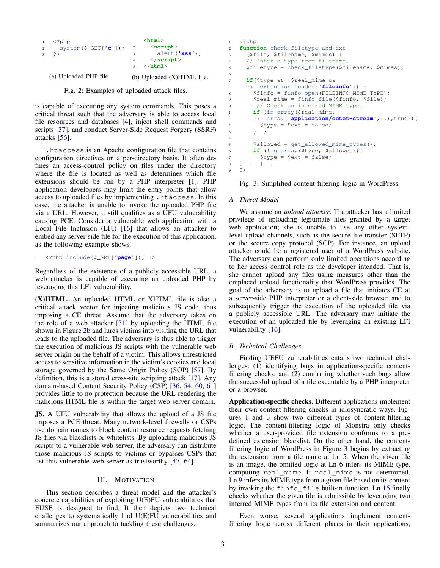<span id="page-2-0"></span>

| $\mathbf{1}$   | $\langle ?\text{php}$   |    | $\verb thtml $             |
|----------------|-------------------------|----|----------------------------|
| $\overline{2}$ | system(\$ $GET['c']$ ); | -2 | $\le$ script $>$           |
| $\mathbf{3}$   | っゝ                      |    | $\text{alert}('xss');$     |
|                |                         |    | $\langle$ /script>         |
|                |                         |    | $\langle$ /html $\rangle$  |
|                | (a) Uploaded PHP file.  |    | (b) Uploaded (X)HTML file. |

Fig. 2: Examples of uploaded attack files.

is capable of executing any system commands. This poses a critical threat such that the adversary is able to access local file resources and databases [\[4\]](#page-14-2), inject shell commands and scripts [\[37\]](#page-15-15), and conduct Server-Side Request Forgery (SSRF) attacks [\[56\]](#page-15-16).

.htaccess is an Apache configuration file that contains configuration directives on a per-directory basis. It often defines an access-control policy on files under the directory where the file is located as well as determines which file extensions should be run by a PHP interpreter [\[1\]](#page-14-3). PHP application developers may limit the entry points that allow access to uploaded files by implementing .htaccess. In this case, the attacker is unable to invoke the uploaded PHP file via a URL. However, it still qualifies as a UFU vulnerability causing PCE. Consider a vulnerable web application with a Local File Inclusion (LFI) [\[16\]](#page-15-17) that allows an attacker to embed any server-side file for the execution of this application, as the following example shows.

```
1 <?php include($_GET['page']); ?>
```
Regardless of the existence of a publicly accessible URL, a web attacker is capable of executing an uploaded PHP by leveraging this LFI vulnerability.

(X)HTML. An uploaded HTML or XHTML file is also a critical attack vector for injecting malicious JS code, thus imposing a CE threat. Assume that the adversary takes on the role of a web attacker [\[31\]](#page-15-18) by uploading the HTML file shown in Figure [2b](#page-2-0) and lures victims into visiting the URL that leads to the uploaded file. The adversary is thus able to trigger the execution of malicious JS scripts with the vulnerable web server origin on the behalf of a victim. This allows unrestricted access to sensitive information in the victim's cookies and local storage governed by the Same Origin Policy (SOP) [\[57\]](#page-15-19). By definition, this is a stored cross-site scripting attack [\[17\]](#page-15-20). Any domain-based Content Security Policy (CSP) [\[36,](#page-15-21) [54,](#page-15-22) [60,](#page-16-4) [61\]](#page-16-5) provides little to no protection because the URL rendering the malicious HTML file is within the target web server domain.

**JS.** A UFU vulnerability that allows the upload of a JS file imposes a PCE threat. Many network-level firewalls or CSPs use domain names to block content resource requests fetching JS files via blacklists or whitelists. By uploading malicious JS scripts to a vulnerable web server, the adversary can distribute those malicious JS scripts to victims or bypasses CSPs that list this vulnerable web server as trustworthy [\[47,](#page-15-23) [64\]](#page-16-6).

## III. MOTIVATION

This section describes a threat model and the attacker's concrete capabilities of exploiting U(E)FU vulnerabilities that FUSE is designed to find. It then depicts two technical challenges to systematically find U(E)FU vulnerabilities and summarizes our approach to tackling these challenges.

```
1 \leq 2php
2 function check_filetype_and_ext
     3 ($file, $filename, $mimes) {
4 // Infer a type from filename.
5 $filetype = check_filetype($filename, $mimes);
6 \qquad \qquad \ldots7 if($type && !$real_mime &&
     ,→ extension_loaded('fileinfo')) {
8 $finfo = finfo_open(FILEINFO_MIME_TYPE);
9 $real_mime = finfo_file($finfo, $file);
10 // Check an inferred MIME type.
11 if(!in_array($real_mime,
       ,→ array('application/octet-stream',..),true)){
12 $type = $ext = false;
13 } }
14 ...
15 $allowed = get_allowed_mime_types();
16 if (!in_array($type, $allowed)){
17 $type = $ext = false;
18 } } } }
19 ?>
```
Fig. 3: Simplified content-filtering logic in WordPress.

# *A. Threat Model*

We assume an *upload attacker*. The attacker has a limited privilege of uploading legitimate files granted by a target web application; she is unable to use any other systemlevel upload channels, such as the secure file transfer (SFTP) or the secure copy protocol (SCP). For instance, an upload attacker could be a registered user of a WordPress website. The adversary can perform only limited operations according to her access control role as the developer intended. That is, she cannot upload any files using measures other than the emplaced upload functionality that WordPress provides. The goal of the adversary is to upload a file that initiates CE at a server-side PHP interpreter or a client-side browser and to subsequently trigger the execution of the uploaded file via a publicly accessible URL. The adversary may initiate the execution of an uploaded file by leveraging an existing LFI vulnerability [\[16\]](#page-15-17).

## *B. Technical Challenges*

Finding UEFU vulnerabilities entails two technical challenges: (1) identifying bugs in application-specific contentfiltering checks, and (2) confirming whether such bugs allow the successful upload of a file executable by a PHP interpreter or a browser.

Application-specific checks. Different applications implement their own content-filtering checks in idiosyncratic ways. Figures [1](#page-1-0) and [3](#page-2-1) show two different types of content-filtering logic. The content-filtering logic of Monstra only checks whether a user-provided file extension conforms to a predefined extension blacklist. On the other hand, the contentfiltering logic of WordPress in Figure [3](#page-2-1) begins by extracting the extension from a file name at Ln [5.](#page-2-1) When the given file is an image, the omitted logic at Ln 6 infers its MIME type, computing real\_mime. If real\_mime is not determined, Ln [9](#page-2-1) infers its MIME type from a given file based on its content by invoking the finfo\_file built-in function. Ln [16](#page-2-1) finally checks whether the given file is admissible by leveraging two inferred MIME types from its file extension and content.

Even worse, several applications implement contentfiltering logic across different places in their applications,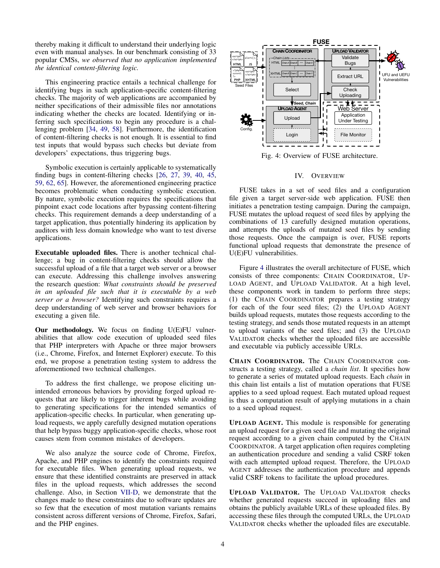thereby making it difficult to understand their underlying logic even with manual analyses. In our benchmark consisting of 33 popular CMSs, *we observed that no application implemented the identical content-filtering logic.*

This engineering practice entails a technical challenge for identifying bugs in such application-specific content-filtering checks. The majority of web applications are accompanied by neither specifications of their admissible files nor annotations indicating whether the checks are located. Identifying or inferring such specifications to begin any procedure is a challenging problem [\[34,](#page-15-24) [49,](#page-15-4) [58\]](#page-15-25). Furthermore, the identification of content-filtering checks is not enough. It is essential to find test inputs that would bypass such checks but deviate from developers' expectations, thus triggering bugs.

Symbolic execution is certainly applicable to systematically finding bugs in content-filtering checks [\[26,](#page-15-7) [27,](#page-15-26) [39,](#page-15-27) [40,](#page-15-8) [45,](#page-15-28) [59,](#page-16-2) [62,](#page-16-3) [65\]](#page-16-1). However, the aforementioned engineering practice becomes problematic when conducting symbolic execution. By nature, symbolic execution requires the specifications that pinpoint exact code locations after bypassing content-filtering checks. This requirement demands a deep understanding of a target application, thus potentially hindering its application by auditors with less domain knowledge who want to test diverse applications.

Executable uploaded files. There is another technical challenge; a bug in content-filtering checks should allow the successful upload of a file that a target web server or a browser can execute. Addressing this challenge involves answering the research question: *What constraints should be preserved in an uploaded file such that it is executable by a web server or a browser?* Identifying such constraints requires a deep understanding of web server and browser behaviors for executing a given file.

Our methodology. We focus on finding U(E)FU vulnerabilities that allow code execution of uploaded seed files that PHP interpreters with Apache or three major browsers (i.e., Chrome, Firefox, and Internet Explorer) execute. To this end, we propose a penetration testing system to address the aforementioned two technical challenges.

To address the first challenge, we propose eliciting unintended erroneous behaviors by providing forged upload requests that are likely to trigger inherent bugs while avoiding to generating specifications for the intended semantics of application-specific checks. In particular, when generating upload requests, we apply carefully designed mutation operations that help bypass buggy application-specific checks, whose root causes stem from common mistakes of developers.

We also analyze the source code of Chrome, Firefox, Apache, and PHP engines to identify the constraints required for executable files. When generating upload requests, we ensure that these identified constraints are preserved in attack files in the upload requests, which addresses the second challenge. Also, in Section [VII-D,](#page-12-0) we demonstrate that the changes made to these constraints due to software updates are so few that the execution of most mutation variants remains consistent across different versions of Chrome, Firefox, Safari, and the PHP engines.

<span id="page-3-0"></span>

Fig. 4: Overview of FUSE architecture.

### IV. OVERVIEW

FUSE takes in a set of seed files and a configuration file given a target server-side web application. FUSE then initiates a penetration testing campaign. During the campaign, FUSE mutates the upload request of seed files by applying the combinations of 13 carefully designed mutation operations, and attempts the uploads of mutated seed files by sending those requests. Once the campaign is over, FUSE reports functional upload requests that demonstrate the presence of U(E)FU vulnerabilities.

Figure [4](#page-3-0) illustrates the overall architecture of FUSE, which consists of three components: CHAIN COORDINATOR, UP-LOAD AGENT, and UPLOAD VALIDATOR. At a high level, these components work in tandem to perform three steps; (1) the CHAIN COORDINATOR prepares a testing strategy for each of the four seed files; (2) the UPLOAD AGENT builds upload requests, mutates those requests according to the testing strategy, and sends those mutated requests in an attempt to upload variants of the seed files; and (3) the UPLOAD VALIDATOR checks whether the uploaded files are accessible and executable via publicly accessible URLs.

CHAIN COORDINATOR. The CHAIN COORDINATOR constructs a testing strategy, called a *chain list*. It specifies how to generate a series of mutated upload requests. Each *chain* in this chain list entails a list of mutation operations that FUSE applies to a seed upload request. Each mutated upload request is thus a computation result of applying mutations in a chain to a seed upload request.

UPLOAD AGENT. This module is responsible for generating an upload request for a given seed file and mutating the original request according to a given chain computed by the CHAIN COORDINATOR. A target application often requires completing an authentication procedure and sending a valid CSRF token with each attempted upload request. Therefore, the UPLOAD AGENT addresses the authentication procedure and appends valid CSRF tokens to facilitate the upload procedures.

UPLOAD VALIDATOR. The UPLOAD VALIDATOR checks whether generated requests succeed in uploading files and obtains the publicly available URLs of these uploaded files. By accessing these files through the computed URLs, the UPLOAD VALIDATOR checks whether the uploaded files are executable.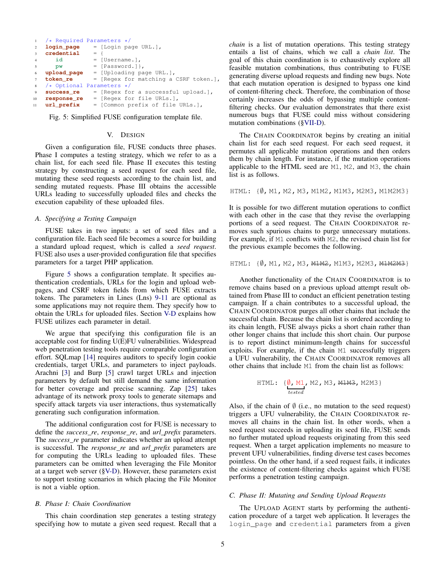```
1 /* Required Parameters */<br>2 login_page = [Login page
                    2 login_page = [Login page URL.],
3 credential = {
4 id = [Username.],
5 pw = [Password.]},
6 upload_page = [Uploading page URL.],
    token_re = [Regex for matching a CSRF token.],
    /* Optional Parameters */<br>success_re = [Reqex for
9 success_re = [Regex for a successful upload.],
10 response_re = [Regex for file URLs.],<br>11 url_prefix = [Common prefix of file
11 url_prefix = [Common prefix of file URLs.],
```
Fig. 5: Simplified FUSE configuration template file.

## V. DESIGN

Given a configuration file, FUSE conducts three phases. Phase I computes a testing strategy, which we refer to as a chain list, for each seed file. Phase II executes this testing strategy by constructing a seed request for each seed file, mutating these seed requests according to the chain list, and sending mutated requests. Phase III obtains the accessible URLs leading to successfully uploaded files and checks the execution capability of these uploaded files.

#### *A. Specifying a Testing Campaign*

FUSE takes in two inputs: a set of seed files and a configuration file. Each seed file becomes a source for building a standard upload request, which is called a *seed request*. FUSE also uses a user-provided configuration file that specifies parameters for a target PHP application.

Figure [5](#page-4-0) shows a configuration template. It specifies authentication credentials, URLs for the login and upload webpages, and CSRF token fields from which FUSE extracts tokens. The parameters in Lines (Lns) [9-11](#page-4-0) are optional as some applications may not require them. They specify how to obtain the URLs for uploaded files. Section [V-D](#page-5-0) explains how FUSE utilizes each parameter in detail.

We argue that specifying this configuration file is an acceptable cost for finding U(E)FU vulnerabilities. Widespread web penetration testing tools require comparable configuration effort. SQLmap [\[14\]](#page-15-29) requires auditors to specify login cookie credentials, target URLs, and parameters to inject payloads. Arachni [\[3\]](#page-14-1) and Burp [\[5\]](#page-14-4) crawl target URLs and injection parameters by default but still demand the same information for better coverage and precise scanning. Zap [\[25\]](#page-15-30) takes advantage of its network proxy tools to generate sitemaps and specify attack targets via user interactions, thus systematically generating such configuration information.

The additional configuration cost for FUSE is necessary to define the *success\_re*, *response\_re*, and *url\_prefix* parameters. The *success\_re* parameter indicates whether an upload attempt is successful. The *response\_re* and *url\_prefix* parameters are for computing the URLs leading to uploaded files. These parameters can be omitted when leveraging the File Monitor at a target web server ([§V-D\)](#page-5-0). However, these parameters exist to support testing scenarios in which placing the File Monitor is not a viable option.

### <span id="page-4-1"></span>*B. Phase I: Chain Coordination*

This chain coordination step generates a testing strategy specifying how to mutate a given seed request. Recall that a *chain* is a list of mutation operations. This testing strategy entails a list of chains, which we call a *chain list*. The goal of this chain coordination is to exhaustively explore all feasible mutation combinations, thus contributing to FUSE generating diverse upload requests and finding new bugs. Note that each mutation operation is designed to bypass one kind of content-filtering check. Therefore, the combination of those certainly increases the odds of bypassing multiple contentfiltering checks. Our evaluation demonstrates that there exist numerous bugs that FUSE could miss without considering mutation combinations ([§VII-D\)](#page-11-0).

The CHAIN COORDINATOR begins by creating an initial chain list for each seed request. For each seed request, it permutes all applicable mutation operations and then orders them by chain length. For instance, if the mutation operations applicable to the HTML seed are M1, M2, and M3, the chain list is as follows.

HTML: {∅, M1, M2, M3, M1M2, M1M3, M2M3, M1M2M3}

It is possible for two different mutation operations to conflict with each other in the case that they revise the overlapping portions of a seed request. The CHAIN COORDINATOR removes such spurious chains to purge unnecessary mutations. For example, if M1 conflicts with M2, the revised chain list for the previous example becomes the following.

HTML: { $\emptyset$ , M1, M2, M3, M1M2, M1M3, M2M3, M1M2M3}

Another functionality of the CHAIN COORDINATOR is to remove chains based on a previous upload attempt result obtained from Phase III to conduct an efficient penetration testing campaign. If a chain contributes to a successful upload, the CHAIN COORDINATOR purges all other chains that include the successful chain. Because the chain list is ordered according to its chain length, FUSE always picks a short chain rather than other longer chains that include this short chain. Our purpose is to report distinct minimum-length chains for successful exploits. For example, if the chain M1 successfully triggers a UFU vulnerability, the CHAIN COORDINATOR removes all other chains that include M1 from the chain list as follows:

HTML: 
$$
\{\underbrace{\emptyset, M1}_{tested}, M2, M3, M1M3, M2M3\}
$$

Also, if the chain of  $\emptyset$  (i.e., no mutation to the seed request) triggers a UFU vulnerability, the CHAIN COORDINATOR removes all chains in the chain list. In other words, when a seed request succeeds in uploading its seed file, FUSE sends no further mutated upload requests originating from this seed request. When a target application implements no measure to prevent UFU vulnerabilities, finding diverse test cases becomes pointless. On the other hand, if a seed request fails, it indicates the existence of content-filtering checks against which FUSE performs a penetration testing campaign.

#### *C. Phase II: Mutating and Sending Upload Requests*

The UPLOAD AGENT starts by performing the authentication procedure of a target web application. It leverages the login\_page and credential parameters from a given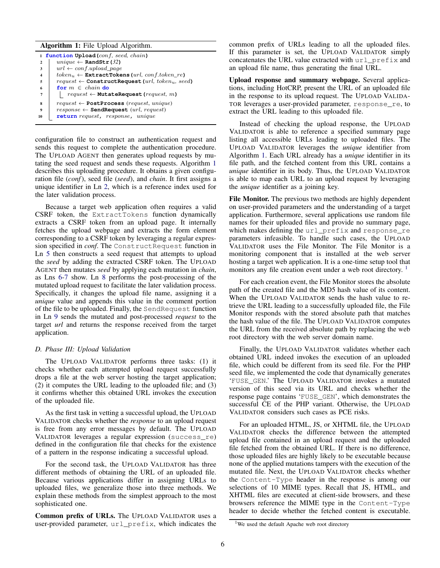## Algorithm 1: File Upload Algorithm.

<span id="page-5-5"></span><span id="page-5-4"></span><span id="page-5-3"></span><span id="page-5-2"></span>

|                         | 1 function Upload (conf, seed, chain)                            |
|-------------------------|------------------------------------------------------------------|
| $\overline{2}$          | unique $\leftarrow$ RandStr(32)                                  |
| 3                       | $url \leftarrow conf.update\ page$                               |
| $\overline{\mathbf{4}}$ | $token_u \leftarrow$ ExtractTokens (url, conf.token_re)          |
| 5                       | $request \leftarrow \text{ConstructRequest}(url, token_u, seed)$ |
| 6                       | for $m \in chain$ do                                             |
| 7                       | $request \leftarrow \text{MutateRequest}(request, m)$            |
| 8                       | $request \leftarrow PostProcess(request, unique)$                |
| 9                       | $response \leftarrow \text{SendRequest}(url, request)$           |
| 10                      | return request, response, unique                                 |

<span id="page-5-7"></span><span id="page-5-6"></span><span id="page-5-1"></span>configuration file to construct an authentication request and sends this request to complete the authentication procedure. The UPLOAD AGENT then generates upload requests by mutating the seed request and sends these requests. Algorithm [1](#page-5-1) describes this uploading procedure. It obtains a given configuration file (*conf*), seed file (*seed*), and *chain*. It first assigns a unique identifier in Ln [2,](#page-5-2) which is a reference index used for the later validation process.

Because a target web application often requires a valid CSRF token, the ExtractTokens function dynamically extracts a CSRF token from an upload page. It internally fetches the upload webpage and extracts the form element corresponding to a CSRF token by leveraging a regular expression specified in *conf*. The ConstructRequest function in Ln [5](#page-5-3) then constructs a seed request that attempts to upload the *seed* by adding the extracted CSRF token. The UPLOAD AGENT then mutates *seed* by applying each mutation in *chain*, as Lns [6-](#page-5-4)[7](#page-5-5) show. Ln [8](#page-5-6) performs the post-processing of the mutated upload request to facilitate the later validation process. Specifically, it changes the upload file name, assigning it a *unique* value and appends this value in the comment portion of the file to be uploaded. Finally, the SendRequest function in Ln [9](#page-5-7) sends the mutated and post-processed *request* to the target *url* and returns the response received from the target application.

### <span id="page-5-0"></span>*D. Phase III: Upload Validation*

The UPLOAD VALIDATOR performs three tasks: (1) it checks whether each attempted upload request successfully drops a file at the web server hosting the target application; (2) it computes the URL leading to the uploaded file; and (3) it confirms whether this obtained URL invokes the execution of the uploaded file.

As the first task in vetting a successful upload, the UPLOAD VALIDATOR checks whether the *response* to an upload request is free from any error messages by default. The UPLOAD VALIDATOR leverages a regular expression (success\_re) defined in the configuration file that checks for the existence of a pattern in the response indicating a successful upload.

For the second task, the UPLOAD VALIDATOR has three different methods of obtaining the URL of an uploaded file. Because various applications differ in assigning URLs to uploaded files, we generalize those into three methods. We explain these methods from the simplest approach to the most sophisticated one.

Common prefix of URLs. The UPLOAD VALIDATOR uses a user-provided parameter, url\_prefix, which indicates the common prefix of URLs leading to all the uploaded files. If this parameter is set, the UPLOAD VALIDATOR simply concatenates the URL value extracted with url\_prefix and an upload file name, thus generating the final URL.

Upload response and summary webpage. Several applications, including HotCRP, present the URL of an uploaded file in the response to its upload request. The UPLOAD VALIDA-TOR leverages a user-provided parameter, response\_re, to extract the URL leading to this uploaded file.

Instead of checking the upload response, the UPLOAD VALIDATOR is able to reference a specified summary page listing all accessible URLs leading to uploaded files. The UPLOAD VALIDATOR leverages the *unique* identifier from Algorithm [1.](#page-5-1) Each URL already has a *unique* identifier in its file path, and the fetched content from this URL contains a *unique* identifier in its body. Thus, the UPLOAD VALIDATOR is able to map each URL to an upload request by leveraging the *unique* identifier as a joining key.

File Monitor. The previous two methods are highly dependent on user-provided parameters and the understanding of a target application. Furthermore, several applications use random file names for their uploaded files and provide no summary page, which makes defining the url prefix and response re parameters infeasible. To handle such cases, the UPLOAD VALIDATOR uses the File Monitor. The File Monitor is a monitoring component that is installed at the web server hosting a target web application. It is a one-time setup tool that monitors any file creation event under a web root directory.<sup>[1](#page-5-8)</sup>

For each creation event, the File Monitor stores the absolute path of the created file and the MD5 hash value of its content. When the UPLOAD VALIDATOR sends the hash value to retrieve the URL leading to a successfully uploaded file, the File Monitor responds with the stored absolute path that matches the hash value of the file. The UPLOAD VALIDATOR computes the URL from the received absolute path by replacing the web root directory with the web server domain name.

Finally, the UPLOAD VALIDATOR validates whether each obtained URL indeed invokes the execution of an uploaded file, which could be different from its seed file. For the PHP seed file, we implemented the code that dynamically generates 'FUSE\_GEN.' The UPLOAD VALIDATOR invokes a mutated version of this seed via its URL and checks whether the response page contains 'FUSE\_GEN', which demonstrates the successful CE of the PHP variant. Otherwise, the UPLOAD VALIDATOR considers such cases as PCE risks.

For an uploaded HTML, JS, or XHTML file, the UPLOAD VALIDATOR checks the difference between the attempted upload file contained in an upload request and the uploaded file fetched from the obtained URL. If there is no difference, those uploaded files are highly likely to be executable because none of the applied mutations tampers with the execution of the mutated file. Next, the UPLOAD VALIDATOR checks whether the Content-Type header in the response is among our selections of 10 MIME types. Recall that JS, HTML, and XHTML files are executed at client-side browsers, and these browsers reference the MIME type in the Content-Type header to decide whether the fetched content is executable.

<span id="page-5-8"></span><sup>&</sup>lt;sup>1</sup>We used the default Apache web root directory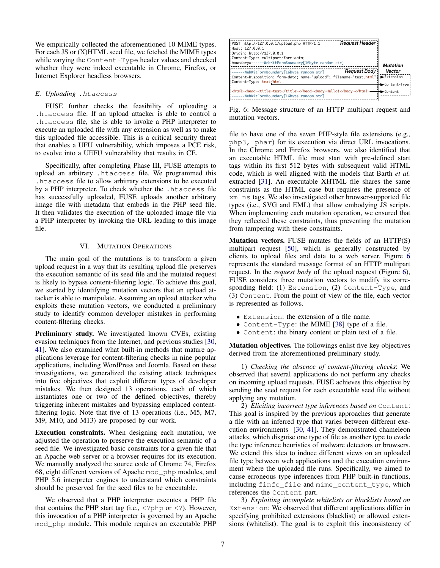We empirically collected the aforementioned 10 MIME types. For each JS or (X)HTML seed file, we fetched the MIME types while varying the Content-Type header values and checked whether they were indeed executable in Chrome, Firefox, or Internet Explorer headless browsers.

## *E. Uploading* .htaccess

FUSE further checks the feasibility of uploading a .htaccess file. If an upload attacker is able to control a .htaccess file, she is able to invoke a PHP interpreter to execute an uploaded file with any extension as well as to make this uploaded file accessible. This is a critical security threat that enables a UFU vulnerability, which imposes a PCE risk, to evolve into a UEFU vulnerability that results in CE.

Specifically, after completing Phase III, FUSE attempts to upload an arbitrary .htaccess file. We programmed this .htaccess file to allow arbitrary extensions to be executed by a PHP interpreter. To check whether the .htaccess file has successfully uploaded, FUSE uploads another arbitrary image file with metadata that embeds in the PHP seed file. It then validates the execution of the uploaded image file via a PHP interpreter by invoking the URL leading to this image file.

### VI. MUTATION OPERATIONS

<span id="page-6-1"></span>The main goal of the mutations is to transform a given upload request in a way that its resulting upload file preserves the execution semantic of its seed file and the mutated request is likely to bypass content-filtering logic. To achieve this goal, we started by identifying mutation vectors that an upload attacker is able to manipulate. Assuming an upload attacker who exploits these mutation vectors, we conducted a preliminary study to identify common developer mistakes in performing content-filtering checks.

Preliminary study. We investigated known CVEs, existing evasion techniques from the Internet, and previous studies [\[30,](#page-15-31) [41\]](#page-15-32). We also examined what built-in methods that mature applications leverage for content-filtering checks in nine popular applications, including WordPress and Joomla. Based on these investigations, we generalized the existing attack techniques into five objectives that exploit different types of developer mistakes. We then designed 13 operations, each of which instantiates one or two of the defined objectives, thereby triggering inherent mistakes and bypassing emplaced contentfiltering logic. Note that five of 13 operations (i.e., M5, M7, M9, M10, and M13) are proposed by our work.

Execution constraints. When designing each mutation, we adjusted the operation to preserve the execution semantic of a seed file. We investigated basic constraints for a given file that an Apache web server or a browser requires for its execution. We manually analyzed the source code of Chrome 74, Firefox 68, eight different versions of Apache mod\_php modules, and PHP 5.6 interpreter engines to understand which constraints should be preserved for the seed files to be executable.

We observed that a PHP interpreter executes a PHP file that contains the PHP start tag (i.e.,  $\langle$ ?php or  $\langle$ ?). However, this invocation of a PHP interpreter is governed by an Apache mod\_php module. This module requires an executable PHP

<span id="page-6-0"></span>

Fig. 6: Message structure of an HTTP multipart request and mutation vectors.

file to have one of the seven PHP-style file extensions (e.g., php3, phar) for its execution via direct URL invocations. In the Chrome and Firefox browsers, we also identified that an executable HTML file must start with pre-defined start tags within its first 512 bytes with subsequent valid HTML code, which is well aligned with the models that Barth *et al.* extracted [\[31\]](#page-15-18). An executable XHTML file shares the same constraints as the HTML case but requires the presence of xmlns tags. We also investigated other browser-supported file types (i.e., SVG and EML) that allow embodying JS scripts. When implementing each mutation operation, we ensured that they reflected these constraints, thus preventing the mutation from tampering with these constraints.

Mutation vectors. FUSE mutates the fields of an HTTP(S) multipart request [\[50\]](#page-15-14), which is generally constructed by clients to upload files and data to a web server. Figure [6](#page-6-0) represents the standard message format of an HTTP multipart request. In the *request body* of the upload request (Figure [6\)](#page-6-0), FUSE considers three mutation vectors to modify its corresponding field: (1) Extension, (2) Content-Type, and (3) Content. From the point of view of the file, each vector is represented as follows.

- Extension: the extension of a file name.
- Content-Type: the MIME [\[38\]](#page-15-33) type of a file.
- Content: the binary content or plain text of a file.

Mutation objectives. The followings enlist five key objectives derived from the aforementioned preliminary study.

1) *Checking the absence of content-filtering checks*: We observed that several applications do not perform any checks on incoming upload requests. FUSE achieves this objective by sending the seed request for each executable seed file without applying any mutation.

2) *Eliciting incorrect type inferences based on* Content: This goal is inspired by the previous approaches that generate a file with an inferred type that varies between different execution environments [\[30,](#page-15-31) [41\]](#page-15-32). They demonstrated chameleon attacks, which disguise one type of file as another type to evade the type inference heuristics of malware detectors or browsers. We extend this idea to induce different views on an uploaded file type between web applications and the execution environment where the uploaded file runs. Specifically, we aimed to cause erroneous type inferences from PHP built-in functions, including finfo\_file and mime\_content\_type, which references the Content part.

3) *Exploiting incomplete whitelists or blacklists based on* Extension: We observed that different applications differ in specifying prohibited extensions (blacklist) or allowed extensions (whitelist). The goal is to exploit this inconsistency of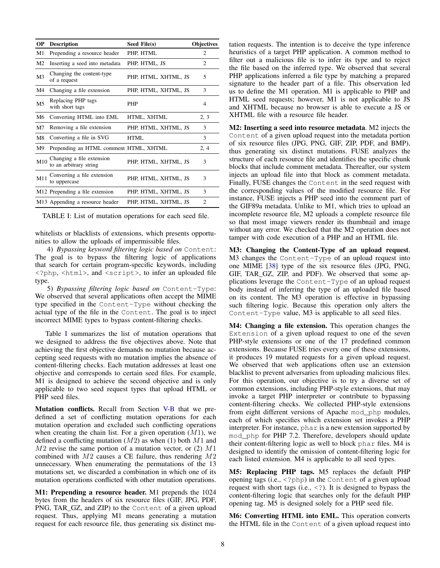<span id="page-7-0"></span>

| <b>Description</b>                                  | Seed File(s)                                                                   | <b>Objectives</b>                      |
|-----------------------------------------------------|--------------------------------------------------------------------------------|----------------------------------------|
| Prepending a resource header                        | PHP, HTML                                                                      | 2                                      |
| Inserting a seed into metadata                      | PHP, HTML, JS                                                                  | $\mathfrak{D}$                         |
| Changing the content-type<br>of a request           | PHP, HTML, XHTML, JS                                                           | 5                                      |
| Changing a file extension                           | PHP, HTML, XHTML, JS                                                           | 3                                      |
| Replacing PHP tags<br>with short tags               | <b>PHP</b>                                                                     | 4                                      |
| Converting HTML into EML                            | HTML, XHTML                                                                    | 2, 3                                   |
| Removing a file extension                           | PHP, HTML, XHTML, JS                                                           | 3                                      |
| Converting a file in SVG                            | <b>HTML</b>                                                                    | 3                                      |
|                                                     |                                                                                | 2, 4                                   |
| Changing a file extension<br>to an arbitrary string | PHP, HTML, XHTML, JS                                                           | 3                                      |
| Converting a file extension<br>to uppercase         | PHP, HTML, XHTML, JS                                                           | 3                                      |
|                                                     | PHP, HTML, XHTML, JS                                                           | 3                                      |
|                                                     | PHP, HTML, XHTML, JS                                                           | 2                                      |
|                                                     | M12 Prepending a file extension<br>M <sub>13</sub> Appending a resource header | Prepending an HTML comment HTML, XHTML |

TABLE I: List of mutation operations for each seed file.

whitelists or blacklists of extensions, which presents opportunities to allow the uploads of impermissible files.

4) *Bypassing keyword filtering logic based on* Content: The goal is to bypass the filtering logic of applications that search for certain program-specific keywords, including <?php, <html>, and <script>, to infer an uploaded file type.

5) *Bypassing filtering logic based on* Content-Type: We observed that several applications often accept the MIME type specified in the Content-Type without checking the actual type of the file in the Content. The goal is to inject incorrect MIME types to bypass content-filtering checks.

Table [I](#page-7-0) summarizes the list of mutation operations that we designed to address the five objectives above. Note that achieving the first objective demands no mutation because accepting seed requests with no mutation implies the absence of content-filtering checks. Each mutation addresses at least one objective and corresponds to certain seed files. For example, M1 is designed to achieve the second objective and is only applicable to two seed request types that upload HTML or PHP seed files.

Mutation conflicts. Recall from Section [V-B](#page-4-1) that we predefined a set of conflicting mutation operations for each mutation operation and excluded such conflicting operations when creating the chain list. For a given operation  $(M1)$ , we defined a conflicting mutation  $(M2)$  as when (1) both  $M1$  and  $M2$  revise the same portion of a mutation vector, or (2)  $M1$ combined with  $M2$  causes a CE failure, thus rendering  $M2$ unnecessary. When enumerating the permutations of the 13 mutations set, we discarded a combination in which one of its mutation operations conflicted with other mutation operations.

M1: Prepending a resource header. M1 prepends the 1024 bytes from the headers of six resource files (GIF, JPG, PDF, PNG, TAR\_GZ, and ZIP) to the Content of a given upload request. Thus, applying M1 means generating a mutation request for each resource file, thus generating six distinct mutation requests. The intention is to deceive the type inference heuristics of a target PHP application. A common method to filter out a malicious file is to infer its type and to reject the file based on the inferred type. We observed that several PHP applications inferred a file type by matching a prepared signature to the header part of a file. This observation led us to define the M1 operation. M1 is applicable to PHP and HTML seed requests; however, M1 is not applicable to JS and XHTML because no browser is able to execute a JS or XHTML file with a resource file header.

M2: Inserting a seed into resource metadata. M2 injects the Content of a given upload request into the metadata portion of six resource files (JPG, PNG, GIF, ZIP, PDF, and BMP), thus generating six distinct mutations. FUSE analyzes the structure of each resource file and identifies the specific chunk blocks that include comment metadata. Thereafter, our system injects an upload file into that block as comment metadata. Finally, FUSE changes the Content in the seed request with the corresponding values of the modified resource file. For instance, FUSE injects a PHP seed into the comment part of the GIF89a metadata. Unlike to M1, which tries to upload an incomplete resource file, M2 uploads a complete resource file so that most image viewers render its thumbnail and image without any error. We checked that the M2 operation does not tamper with code execution of a PHP and an HTML file.

M3: Changing the Content-Type of an upload request. M3 changes the Content-Type of an upload request into one MIME [\[38\]](#page-15-33) type of the six resource files (JPG, PNG, GIF, TAR\_GZ, ZIP, and PDF). We observed that some applications leverage the Content-Type of an upload request body instead of inferring the type of an uploaded file based on its content. The M3 operation is effective in bypassing such filtering logic. Because this operation only alters the Content-Type value, M3 is applicable to all seed files.

M4: Changing a file extension. This operation changes the Extension of a given upload request to one of the seven PHP-style extensions or one of the 17 predefined common extensions. Because FUSE tries every one of these extensions, it produces 19 mutated requests for a given upload request. We observed that web applications often use an extension blacklist to prevent adversaries from uploading malicious files. For this operation, our objective is to try a diverse set of common extensions, including PHP-style extensions, that may invoke a target PHP interpreter or contribute to bypassing content-filtering checks. We collected PHP-style extensions from eight different versions of Apache mod\_php modules, each of which specifies which extension set invokes a PHP interpreter. For instance, phar is a new extension supported by mod\_php for PHP 7.2. Therefore, developers should update their content-filtering logic as well to block phar files. M4 is designed to identify the omission of content-filtering logic for each listed extension. M4 is applicable to all seed types.

M5: Replacing PHP tags. M5 replaces the default PHP opening tags (i.e., <?php) in the Content of a given upload request with short tags (i.e., <?). It is designed to bypass the content-filtering logic that searches only for the default PHP opening tag. M5 is designed solely for a PHP seed file.

M6: Converting HTML into EML. This operation converts the HTML file in the Content of a given upload request into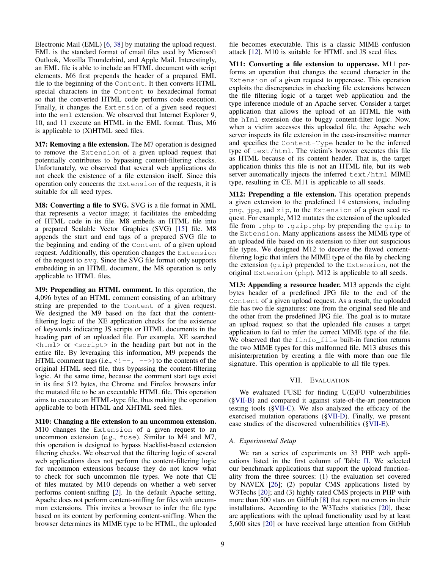Electronic Mail (EML) [\[6,](#page-14-5) [38\]](#page-15-33) by mutating the upload request. EML is the standard format of email files used by Microsoft Outlook, Mozilla Thunderbird, and Apple Mail. Interestingly, an EML file is able to include an HTML document with script elements. M6 first prepends the header of a prepared EML file to the beginning of the Content. It then converts HTML special characters in the Content to hexadecimal format so that the converted HTML code performs code execution. Finally, it changes the Extension of a given seed request into the eml extension. We observed that Internet Explorer 9, 10, and 11 execute an HTML in the EML format. Thus, M6 is applicable to (X)HTML seed files.

M7: Removing a file extension. The M7 operation is designed to remove the Extension of a given upload request that potentially contributes to bypassing content-filtering checks. Unfortunately, we observed that several web applications do not check the existence of a file extension itself. Since this operation only concerns the Extension of the requests, it is suitable for all seed types.

M8: Converting a file to SVG. SVG is a file format in XML that represents a vector image; it facilitates the embedding of HTML code in its file. M8 embeds an HTML file into a prepared Scalable Vector Graphics (SVG) [\[15\]](#page-15-34) file. M8 appends the start and end tags of a prepared SVG file to the beginning and ending of the Content of a given upload request. Additionally, this operation changes the Extension of the request to svg. Since the SVG file format only supports embedding in an HTML document, the M8 operation is only applicable to HTML files.

M9: Prepending an HTML comment. In this operation, the 4,096 bytes of an HTML comment consisting of an arbitrary string are prepended to the Content of a given request. We designed the M9 based on the fact that the contentfiltering logic of the XE application checks for the existence of keywords indicating JS scripts or HTML documents in the heading part of an uploaded file. For example, XE searched <html> or <script> in the heading part but not in the entire file. By leveraging this information, M9 prepends the HTML comment tags (i.e.,  $\langle$ !--, -->) to the contents of the original HTML seed file, thus bypassing the content-filtering logic. At the same time, because the comment start tags exist in its first 512 bytes, the Chrome and Firefox browsers infer the mutated file to be an executable HTML file. This operation aims to execute an HTML-type file, thus making the operation applicable to both HTML and XHTML seed files.

M10: Changing a file extension to an uncommon extension. M10 changes the Extension of a given request to an uncommon extension (e.g., fuse). Similar to M4 and M7, this operation is designed to bypass blacklist-based extension filtering checks. We observed that the filtering logic of several web applications does not perform the content-filtering logic for uncommon extensions because they do not know what to check for such uncommon file types. We note that CE of files mutated by M10 depends on whether a web server performs content-sniffing [\[2\]](#page-14-6). In the default Apache setting, Apache does not perform content-sniffing for files with uncommon extensions. This invites a browser to infer the file type based on its content by performing content-sniffing. When the browser determines its MIME type to be HTML, the uploaded file becomes executable. This is a classic MIME confusion attack [\[12\]](#page-14-7). M10 is suitable for HTML and JS seed files.

M11: Converting a file extension to uppercase. M11 performs an operation that changes the second character in the Extension of a given request to uppercase. This operation exploits the discrepancies in checking file extensions between the file filtering logic of a target web application and the type inference module of an Apache server. Consider a target application that allows the upload of an HTML file with the hTml extension due to buggy content-filter logic. Now, when a victim accesses this uploaded file, the Apache web server inspects its file extension in the case-insensitive manner and specifies the Content-Type header to be the inferred type of text/html. The victim's browser executes this file as HTML because of its content header. That is, the target application thinks this file is not an HTML file, but its web server automatically injects the inferred text/html MIME type, resulting in CE. M11 is applicable to all seeds.

M12: Prepending a file extension. This operation prepends a given extension to the predefined 14 extensions, including png, jpg, and zip, to the Extension of a given seed request. For example, M12 mutates the extension of the uploaded file from .php to .gzip.php by prepending the gzip to the Extension. Many applications assess the MIME type of an uploaded file based on its extension to filter out suspicious file types. We designed M12 to deceive the flawed contentfiltering logic that infers the MIME type of the file by checking the extension (gzip) prepended to the Extension, not the original Extension (php). M12 is applicable to all seeds.

M13: Appending a resource header. M13 appends the eight bytes header of a predefined JPG file to the end of the Content of a given upload request. As a result, the uploaded file has two file signatures: one from the original seed file and the other from the predefined JPG file. The goal is to mutate an upload request so that the uploaded file causes a target application to fail to infer the correct MIME type of the file. We observed that the finfo\_file built-in function returns the two MIME types for this malformed file. M13 abuses this misinterpretation by creating a file with more than one file signature. This operation is applicable to all file types.

## VII. EVALUATION

We evaluated FUSE for finding U(E)FU vulnerabilities ([§VII-B\)](#page-9-0) and compared it against state-of-the-art penetration testing tools ([§VII-C\)](#page-11-1). We also analyzed the efficacy of the exercised mutation operations ([§VII-D\)](#page-11-0). Finally, we present case studies of the discovered vulnerabilities ([§VII-E\)](#page-13-0).

## *A. Experimental Setup*

We ran a series of experiments on 33 PHP web applications listed in the first column of Table [II.](#page-9-1) We selected our benchmark applications that support the upload functionality from the three sources: (1) the evaluation set covered by NAVEX [\[26\]](#page-15-7); (2) popular CMS applications listed by W3Techs [\[20\]](#page-15-1); and (3) highly rated CMS projects in PHP with more than 500 stars on GitHub [\[8\]](#page-14-8) that report no errors in their installations. According to the W3Techs statistics [\[20\]](#page-15-1), these are applications with the upload functionality used by at least 5,600 sites [\[20\]](#page-15-1) or have received large attention from GitHub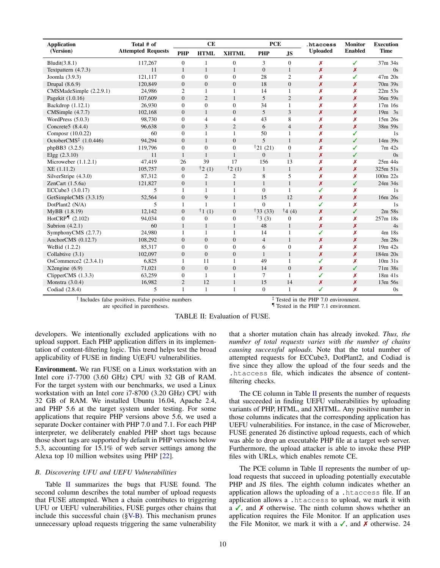<span id="page-9-1"></span>

| <b>Application</b>                             | Total # of<br><b>Attempted Requests</b> | CE             |                  |                  | <b>PCE</b>          |                  | .htaccess        | <b>Monitor</b>   | <b>Execution</b> |
|------------------------------------------------|-----------------------------------------|----------------|------------------|------------------|---------------------|------------------|------------------|------------------|------------------|
| (Version)                                      |                                         | <b>PHP</b>     | <b>HTML</b>      | <b>XHTML</b>     | <b>PHP</b>          | <b>JS</b>        | <b>Uploaded</b>  | <b>Enabled</b>   | <b>Time</b>      |
| Bludit(3.8.1)                                  | 117,267                                 | $\mathbf{0}$   | 1                | $\mathbf{0}$     | 3                   | $\mathbf{0}$     | x                | ✓                | 37m 34s          |
| Textpattern $(4.7.3)$                          | 11                                      | $\mathbf{1}$   | $\mathbf{1}$     | $\mathbf{1}$     | $\mathbf{0}$        | $\mathbf{1}$     | x                | X                | 0s               |
| Joomla (3.9.3)                                 | 121.117                                 | $\mathbf{0}$   | $\mathbf{0}$     | $\mathbf{0}$     | 28                  | $\overline{c}$   | Х                | ✓                | 47m 20s          |
| Drupal $(8.6.9)$                               | 120,849                                 | $\Omega$       | $\overline{0}$   | $\boldsymbol{0}$ | 18                  | $\overline{0}$   | x                | X                | 70m 39s          |
| CMSMadeSimple (2.2.9.1)                        | 24,986                                  | 2              | 1                | 1                | 14                  | 1                | Х                | Х                | $22m$ 53s        |
| Pagekit (1.0.16)                               | 107,609                                 | $\mathbf{0}$   | $\overline{2}$   | $\mathbf{1}$     | 5                   | $\overline{2}$   | Х                | X                | 36m 59s          |
| Backdrop (1.12.1)                              | 26.930                                  | $\mathbf{0}$   | $\overline{0}$   | $\mathbf{0}$     | 34                  | $\mathbf{1}$     | Х                | x                | 17m 16s          |
| CMSimple (4.7.7)                               | 102,168                                 | $\Omega$       | $\mathbf{1}$     | $\overline{0}$   | 5                   | 3                | $\boldsymbol{x}$ | $\boldsymbol{x}$ | $19m$ 3s         |
| WordPress $(5.0.3)$                            | 98,730                                  | $\Omega$       | $\overline{4}$   | $\overline{4}$   | 43                  | 8                | Х                | x                | 15m 26s          |
| Concrete5 $(8.4.4)$                            | 96,638                                  | $\mathbf{0}$   | 3                | $\mathfrak{2}$   | 6                   | $\overline{4}$   | X                | $\boldsymbol{x}$ | 38m 59s          |
| Composr (10.0.22)                              | 60                                      | $\theta$       | 1                | $\mathbf{1}$     | 50                  | $\mathbf{1}$     | x                | ✓                | 1s               |
| OctoberCMS <sup><math>‡</math></sup> (1.0.446) | 94,294                                  | $\mathbf{0}$   | $\mathbf{1}$     | $\overline{0}$   | 5                   | $\mathbf{1}$     | X                | ✓                | 14m 39s          |
| phpBB3 (3.2.5)                                 | 119,796                                 | $\theta$       | $\overline{0}$   | $\mathbf{0}$     | $\frac{1}{21}$ (21) | $\mathbf{0}$     | Х                | ✓                | 7m 42s           |
| Elgg $(2.3.10)$                                | 11                                      | $\mathbf{1}$   | $\mathbf{1}$     | $\mathbf{1}$     | $\mathbf{0}$        | $\mathbf{1}$     | $\boldsymbol{x}$ | ✓                | 0s               |
| Microweber $(1.1.2.1)$                         | 47,419                                  | 26             | 39               | 17               | 156                 | 13               | Х                | X                | 25m 44s          |
| XE (1.11.2)                                    | 105,757                                 | $\mathbf{0}$   | $\dagger$ 2 (1)  | $\dagger$ 2 (1)  | $\mathbf{1}$        | $\mathbf{1}$     | $\boldsymbol{x}$ | $\boldsymbol{x}$ | 325m 51s         |
| SilverStripe (4.3.0)                           | 87,312                                  | $\mathbf{0}$   | $\overline{c}$   | $\mathfrak{2}$   | 8                   | 5                | Х                | x                | 100m 22s         |
| ZenCart $(1.5.6a)$                             | 121,827                                 | $\mathbf{0}$   | $\mathbf{1}$     | $\mathbf{1}$     | $\mathbf{1}$        | $\mathbf{1}$     | x                | ✓                | 24m 34s          |
| ECCube3 (3.0.17)                               | 5                                       | $\mathbf{1}$   | $\mathbf{1}$     | $\mathbf{1}$     | $\mathbf{0}$        | $\mathbf{1}$     | ✓                | x                | 1s               |
| GetSimpleCMS (3.3.15)                          | 52,564                                  | $\overline{0}$ | 9                | $\mathbf{1}$     | 15                  | 12               | X                | $\boldsymbol{x}$ | 16m 26s          |
| DotPlant2 (N/A)                                | 5                                       | $\mathbf{1}$   | 1                | $\mathbf{1}$     | $\Omega$            | $\mathbf{1}$     | ✓                | X                | 1s               |
| MyBB (1.8.19)                                  | 12,142                                  | $\mathbf{0}$   | $\dagger$ 1 (1)  | $\boldsymbol{0}$ | $\dagger$ 33 (33)   | $\uparrow$ 4 (4) | x                | ✓                | 2m 58s           |
| HotCRP $\P$ (2.102)                            | 94,034                                  | $\mathbf{0}$   | $\boldsymbol{0}$ | $\boldsymbol{0}$ | 13(3)               | $\boldsymbol{0}$ | Х                | X                | 257m 18s         |
| Subrion $(4.2.1)$                              | 60                                      | $\mathbf{1}$   | $\mathbf{1}$     | $\mathbf{1}$     | 48                  | $\mathbf{1}$     | x                | $\boldsymbol{x}$ | 4s               |
| SymphonyCMS (2.7.7)                            | 24,980                                  | 1              | 1                | $\mathbf{1}$     | 14                  | 1                | ✓                | X                | 4m 18s           |
| AnchorCMS (0.12.7)                             | 108,292                                 | $\mathbf{0}$   | $\boldsymbol{0}$ | $\boldsymbol{0}$ | $\overline{4}$      | $\mathbf{1}$     | Х                | $\boldsymbol{x}$ | 3m 28s           |
| WeBid (1.2.2)                                  | 85,317                                  | $\theta$       | $\mathbf{0}$     | $\mathbf{0}$     | 6                   | $\mathbf{0}$     | x                | x                | 19m 42s          |
| Collabtive (3.1)                               | 102,097                                 | $\Omega$       | $\mathbf{0}$     | $\overline{0}$   | $\mathbf{1}$        | $\mathbf{1}$     | Х                | $\boldsymbol{x}$ | 184m 20s         |
| OsCommerce2 (2.3.4.1)                          | 6,825                                   | 1              | 11               | $\mathbf{1}$     | 49                  | $\mathbf{1}$     | ✓                | X                | $10m$ 31s        |
| $X2$ engine $(6.9)$                            | 71,021                                  | $\mathbf{0}$   | $\boldsymbol{0}$ | $\boldsymbol{0}$ | 14                  | $\mathbf{0}$     | Х                | ✓                | 71m 38s          |
| ClipperCMS $(1.3.3)$                           | 63,259                                  | $\mathbf{0}$   | $\mathbf{1}$     | $\mathbf{1}$     | $\tau$              | $\mathbf{1}$     | ✓                | X                | $18m$ 41s        |
| Monstra $(3.0.4)$                              | 16,982                                  | $\overline{2}$ | 12               | $\mathbf{1}$     | 15                  | 14               | Х                | $\boldsymbol{x}$ | 13m 56s          |
| Codiad (2.8.4)                                 | 5                                       | $\mathbf{1}$   | $\mathbf{1}$     | $\mathbf{1}$     | $\overline{0}$      | $\mathbf{1}$     | ✓                | Х                | 0s               |

† Includes false positives. False positive numbers are specified in parentheses.

<sup>‡</sup> Tested in the PHP 7.0 environment. ¶ Tested in the PHP 7.1 environment.

developers. We intentionally excluded applications with no upload support. Each PHP application differs in its implementation of content-filtering logic. This trend helps test the broad applicability of FUSE in finding U(E)FU vulnerabilities.

Environment. We ran FUSE on a Linux workstation with an Intel core i7-7700 (3.60 GHz) CPU with 32 GB of RAM. For the target system with our benchmarks, we used a Linux workstation with an Intel core i7-8700 (3.20 GHz) CPU with 32 GB of RAM. We installed Ubuntu 16.04, Apache 2.4, and PHP 5.6 at the target system under testing. For some applications that require PHP versions above 5.6, we used a separate Docker container with PHP 7.0 and 7.1. For each PHP interpreter, we deliberately enabled PHP short tags because those short tags are supported by default in PHP versions below 5.3, accounting for 15.1% of web server settings among the Alexa top 10 million websites using PHP [\[22\]](#page-15-35).

## <span id="page-9-0"></span>*B. Discovering UFU and UEFU Vulnerabilities*

Table [II](#page-9-1) summarizes the bugs that FUSE found. The second column describes the total number of upload requests that FUSE attempted. When a chain contributes to triggering UFU or UEFU vulnerabilities, FUSE purges other chains that include this successful chain ([§V-B\)](#page-4-1). This mechanism prunes unnecessary upload requests triggering the same vulnerability that a shorter mutation chain has already invoked. *Thus, the number of total requests varies with the number of chains causing successful uploads.* Note that the total number of attempted requests for ECCube3, DotPlant2, and Codiad is five since they allow the upload of the four seeds and the .htaccess file, which indicates the absence of contentfiltering checks.

The CE column in Table [II](#page-9-1) presents the number of requests that succeeded in finding UEFU vulnerabilities by uploading variants of PHP, HTML, and XHTML. Any positive number in those columns indicates that the corresponding application has UEFU vulnerabilities. For instance, in the case of Microweber, FUSE generated 26 distinctive upload requests, each of which was able to drop an executable PHP file at a target web server. Furthermore, the upload attacker is able to invoke these PHP files with URLs, which enables remote CE.

The PCE column in Table [II](#page-9-1) represents the number of upload requests that succeed in uploading potentially executable PHP and JS files. The eighth column indicates whether an application allows the uploading of a .htaccess file. If an application allows a .htaccess to upload, we mark it with a  $\checkmark$ , and  $\checkmark$  otherwise. The ninth column shows whether an application requires the File Monitor. If an application uses the File Monitor, we mark it with a  $\checkmark$ , and  $\checkmark$  otherwise. 24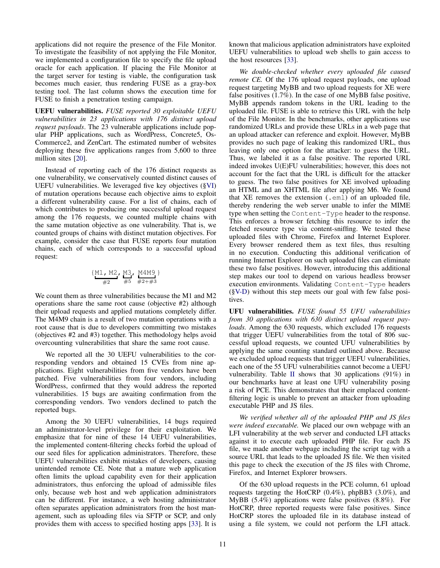applications did not require the presence of the File Monitor. To investigate the feasibility of not applying the File Monitor, we implemented a configuration file to specify the file upload oracle for each application. If placing the File Monitor at the target server for testing is viable, the configuration task becomes much easier, thus rendering FUSE as a gray-box testing tool. The last column shows the execution time for FUSE to finish a penetration testing campaign.

UEFU vulnerabilities. *FUSE reported 30 exploitable UEFU vulnerabilities in 23 applications with 176 distinct upload request payloads*. The 23 vulnerable applications include popular PHP applications, such as WordPress, Concrete5, Os-Commerce2, and ZenCart. The estimated number of websites deploying these five applications ranges from 5,600 to three million sites [\[20\]](#page-15-1).

Instead of reporting each of the 176 distinct requests as one vulnerability, we conservatively counted distinct causes of UEFU vulnerabilities. We leveraged five key objectives ([§VI\)](#page-6-1) of mutation operations because each objective aims to exploit a different vulnerability cause. For a list of chains, each of which contributes to producing one successful upload request among the 176 requests, we counted multiple chains with the same mutation objective as one vulnerability. That is, we counted groups of chains with distinct mutation objectives. For example, consider the case that FUSE reports four mutation chains, each of which corresponds to a successful upload request:

$$
\{\frac{M1, M2}{#2}, \frac{M3}{#5}, \frac{M4M9}{#2+#3}\}
$$

We count them as three vulnerabilities because the M1 and M2 operations share the same root cause (objective #2) although their upload requests and applied mutations completely differ. The M4M9 chain is a result of two mutation operations with a root cause that is due to developers committing two mistakes (objectives #2 and #3) together. This methodology helps avoid overcounting vulnerabilities that share the same root cause.

We reported all the 30 UEFU vulnerabilities to the corresponding vendors and obtained 15 CVEs from nine applications. Eight vulnerabilities from five vendors have been patched. Five vulnerabilities from four vendors, including WordPress, confirmed that they would address the reported vulnerabilities. 15 bugs are awaiting confirmation from the corresponding vendors. Two vendors declined to patch the reported bugs.

Among the 30 UEFU vulnerabilities, 14 bugs required an administrator-level privilege for their exploitation. We emphasize that for nine of these 14 UEFU vulnerabilities, the implemented content-filtering checks forbid the upload of our seed files for application administrators. Therefore, these UEFU vulnerabilities exhibit mistakes of developers, causing unintended remote CE. Note that a mature web application often limits the upload capability even for their application administrators, thus enforcing the upload of admissible files only, because web host and web application administrators can be different. For instance, a web hosting administrator often separates application administrators from the host management, such as uploading files via SFTP or SCP, and only provides them with access to specified hosting apps [\[33\]](#page-15-36). It is known that malicious application administrators have exploited UEFU vulnerabilities to upload web shells to gain access to the host resources [\[33\]](#page-15-36).

*We double-checked whether every uploaded file caused remote CE.* Of the 176 upload request payloads, one upload request targeting MyBB and two upload requests for XE were false positives (1.7%). In the case of one MyBB false positive, MyBB appends random tokens in the URL leading to the uploaded file. FUSE is able to retrieve this URL with the help of the File Monitor. In the benchmarks, other applications use randomized URLs and provide these URLs in a web page that an upload attacker can reference and exploit. However, MyBB provides no such page of leaking this randomized URL, thus leaving only one option for the attacker: to guess the URL. Thus, we labeled it as a false positive. The reported URL indeed invokes U(E)FU vulnerabilities; however, this does not account for the fact that the URL is difficult for the attacker to guess. The two false positives for XE involved uploading an HTML and an XHTML file after applying M6. We found that XE removes the extension (.eml) of an uploaded file, thereby rendering the web server unable to infer the MIME type when setting the Content-Type header to the response. This enforces a browser fetching this resource to infer the fetched resource type via content-sniffing. We tested these uploaded files with Chrome, Firefox and Internet Explorer. Every browser rendered them as text files, thus resulting in no execution. Conducting this additional verification of running Internet Explorer on such uploaded files can eliminate these two false positives. However, introducing this additional step makes our tool to depend on various headless browser execution environments. Validating Content-Type headers ([§V-D\)](#page-5-0) without this step meets our goal with few false positives.

UFU vulnerabilities. *FUSE found 55 UFU vulnerabilities from 30 applications with 630 distinct upload request payloads.* Among the 630 requests, which excluded 176 requests that trigger UEFU vulnerabilities from the total of 806 successful upload requests, we counted UFU vulnerabilities by applying the same counting standard outlined above. Because we excluded upload requests that trigger UEFU vulnerabilities, each one of the 55 UFU vulnerabilities cannot become a UEFU vulnerability. Table [II](#page-9-1) shows that 30 applications (91%) in our benchmarks have at least one UFU vulnerability posing a risk of PCE. This demonstrates that their emplaced contentfiltering logic is unable to prevent an attacker from uploading executable PHP and JS files.

*We verified whether all of the uploaded PHP and JS files were indeed executable.* We placed our own webpage with an LFI vulnerability at the web server and conducted LFI attacks against it to execute each uploaded PHP file. For each JS file, we made another webpage including the script tag with a source URL that leads to the uploaded JS file. We then visited this page to check the execution of the JS files with Chrome, Firefox, and Internet Explorer browsers.

Of the 630 upload requests in the PCE column, 61 upload requests targeting the HotCRP (0.4%), phpBB3 (3.0%), and  $MyBB$  (5.4%) applications were false positives (8.8%). For HotCRP, three reported requests were false positives. Since HotCRP stores the uploaded file in its database instead of using a file system, we could not perform the LFI attack.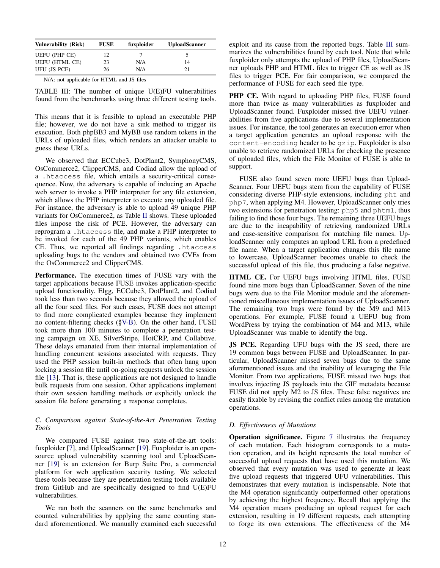<span id="page-11-2"></span>

| <b>Vulnerability (Risk)</b> | <b>FUSE</b> | fuxploider | <b>UploadScanner</b> |
|-----------------------------|-------------|------------|----------------------|
| <b>UEFU (PHP CE)</b>        | 12          |            |                      |
| <b>UEFU (HTML CE)</b>       | 23          | N/A        | 14                   |
| UFU (JS PCE)                | 26          | N/A        | 21                   |

| N/A: not applicable for HTML and JS files |  |  |  |  |
|-------------------------------------------|--|--|--|--|
|-------------------------------------------|--|--|--|--|

TABLE III: The number of unique U(E)FU vulnerabilities found from the benchmarks using three different testing tools.

This means that it is feasible to upload an executable PHP file; however, we do not have a sink method to trigger its execution. Both phpBB3 and MyBB use random tokens in the URLs of uploaded files, which renders an attacker unable to guess these URLs.

We observed that ECCube3, DotPlant2, SymphonyCMS, OsCommerce2, ClipperCMS, and Codiad allow the upload of a .htaccess file, which entails a security-critical consequence. Now, the adversary is capable of inducing an Apache web server to invoke a PHP interpreter for any file extension, which allows the PHP interpreter to execute any uploaded file. For instance, the adversary is able to upload 49 unique PHP variants for OsCommerce2, as Table [II](#page-9-1) shows. These uploaded files impose the risk of PCE. However, the adversary can reprogram a .htaccess file, and make a PHP interpreter to be invoked for each of the 49 PHP variants, which enables CE. Thus, we reported all findings regarding .htaccess uploading bugs to the vendors and obtained two CVEs from the OsCommerce2 and ClipperCMS.

Performance. The execution times of FUSE vary with the target applications because FUSE invokes application-specific upload functionality. Elgg, ECCube3, DotPlant2, and Codiad took less than two seconds because they allowed the upload of all the four seed files. For such cases, FUSE does not attempt to find more complicated examples because they implement no content-filtering checks ([§V-B\)](#page-4-1). On the other hand, FUSE took more than 100 minutes to complete a penetration testing campaign on XE, SilverStripe, HotCRP, and Collabtive. These delays emanated from their internal implementation of handling concurrent sessions associated with requests. They used the PHP session built-in methods that often hang upon locking a session file until on-going requests unlock the session file [\[13\]](#page-15-37). That is, these applications are not designed to handle bulk requests from one session. Other applications implement their own session handling methods or explicitly unlock the session file before generating a response completes.

## <span id="page-11-1"></span>*C. Comparison against State-of-the-Art Penetration Testing Tools*

We compared FUSE against two state-of-the-art tools: fuxploider [\[7\]](#page-14-9), and UploadScanner [\[19\]](#page-15-38). Fuxploider is an opensource upload vulnerability scanning tool and UploadScanner [\[19\]](#page-15-38) is an extension for Burp Suite Pro, a commercial platform for web application security testing. We selected these tools because they are penetration testing tools available from GitHub and are specifically designed to find U(E)FU vulnerabilities.

We ran both the scanners on the same benchmarks and counted vulnerabilities by applying the same counting standard aforementioned. We manually examined each successful exploit and its cause from the reported bugs. Table [III](#page-11-2) summarizes the vulnerabilities found by each tool. Note that while fuxploider only attempts the upload of PHP files, UploadScanner uploads PHP and HTML files to trigger CE as well as JS files to trigger PCE. For fair comparison, we compared the performance of FUSE for each seed file type.

PHP CE. With regard to uploading PHP files, FUSE found more than twice as many vulnerabilities as fuxploider and UploadScanner found. Fuxploider missed five UEFU vulnerabilities from five applications due to several implementation issues. For instance, the tool generates an execution error when a target application generates an upload response with the content-encoding header to be gzip. Fuxploider is also unable to retrieve randomized URLs for checking the presence of uploaded files, which the File Monitor of FUSE is able to support.

FUSE also found seven more UEFU bugs than Upload-Scanner. Four UEFU bugs stem from the capability of FUSE considering diverse PHP-style extensions, including pht and php7, when applying M4. However, UploadScanner only tries two extensions for penetration testing: php5 and phtml, thus failing to find those four bugs. The remaining three UEFU bugs are due to the incapability of retrieving randomized URLs and case-sensitive comparison for matching file names. UploadScanner only computes an upload URL from a predefined file name. When a target application changes this file name to lowercase, UploadScanner becomes unable to check the successful upload of this file, thus producing a false negative.

HTML CE. For UEFU bugs involving HTML files, FUSE found nine more bugs than UploadScanner. Seven of the nine bugs were due to the File Monitor module and the aforementioned miscellaneous implementation issues of UploadScanner. The remaining two bugs were found by the M9 and M13 operations. For example, FUSE found a UEFU bug from WordPress by trying the combination of M4 and M13, while UploadScanner was unable to identify the bug.

JS PCE. Regarding UFU bugs with the JS seed, there are 19 common bugs between FUSE and UploadScanner. In particular, UploadScanner missed seven bugs due to the same aforementioned issues and the inability of leveraging the File Monitor. From two applications, FUSE missed two bugs that involves injecting JS payloads into the GIF metadata because FUSE did not apply M2 to JS files. These false negatives are easily fixable by revising the conflict rules among the mutation operations.

## <span id="page-11-0"></span>*D. Effectiveness of Mutations*

Operation significance. Figure [7](#page-12-1) illustrates the frequency of each mutation. Each histogram corresponds to a mutation operation, and its height represents the total number of successful upload requests that have used this mutation. We observed that every mutation was used to generate at least five upload requests that triggered UFU vulnerabilities. This demonstrates that every mutation is indispensable. Note that the M4 operation significantly outperformed other operations by achieving the highest frequency. Recall that applying the M4 operation means producing an upload request for each extension, resulting in 19 different requests, each attempting to forge its own extensions. The effectiveness of the M4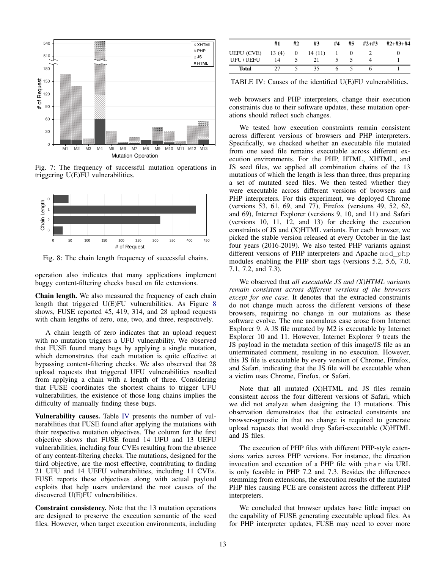<span id="page-12-1"></span>

Fig. 7: The frequency of successful mutation operations in triggering U(E)FU vulnerabilities.

<span id="page-12-2"></span>

Fig. 8: The chain length frequency of successful chains.

operation also indicates that many applications implement buggy content-filtering checks based on file extensions.

Chain length. We also measured the frequency of each chain length that triggered U(E)FU vulnerabilities. As Figure [8](#page-12-2) shows, FUSE reported 45, 419, 314, and 28 upload requests with chain lengths of zero, one, two, and three, respectively.

A chain length of zero indicates that an upload request with no mutation triggers a UFU vulnerability. We observed that FUSE found many bugs by applying a single mutation, which demonstrates that each mutation is quite effective at bypassing content-filtering checks. We also observed that 28 upload requests that triggered UFU vulnerabilities resulted from applying a chain with a length of three. Considering that FUSE coordinates the shortest chains to trigger UFU vulnerabilities, the existence of those long chains implies the difficulty of manually finding these bugs.

Vulnerability causes. Table [IV](#page-12-0) presents the number of vulnerabilities that FUSE found after applying the mutations with their respective mutation objectives. The column for the first objective shows that FUSE found 14 UFU and 13 UEFU vulnerabilities, including four CVEs resulting from the absence of any content-filtering checks. The mutations, designed for the third objective, are the most effective, contributing to finding 21 UFU and 14 UEFU vulnerabilities, including 11 CVEs. FUSE reports these objectives along with actual payload exploits that help users understand the root causes of the discovered U(E)FU vulnerabilities.

Constraint consistency. Note that the 13 mutation operations are designed to preserve the execution semantic of the seed files. However, when target execution environments, including

<span id="page-12-0"></span>

|              | #1    | #2 | #3      | #4 | #5 | $#2+#3$ | $#2+#3+#4$ |
|--------------|-------|----|---------|----|----|---------|------------|
| UEFU (CVE)   | 13(4) | 0  | 14 (11) |    |    |         |            |
| UFUMUEFU     | 14    |    |         |    |    |         |            |
| <b>Total</b> |       |    | 35      | o  |    |         |            |

TABLE IV: Causes of the identified U(E)FU vulnerabilities.

web browsers and PHP interpreters, change their execution constraints due to their software updates, these mutation operations should reflect such changes.

We tested how execution constraints remain consistent across different versions of browsers and PHP interpreters. Specifically, we checked whether an executable file mutated from one seed file remains executable across different execution environments. For the PHP, HTML, XHTML, and JS seed files, we applied all combination chains of the 13 mutations of which the length is less than three, thus preparing a set of mutated seed files. We then tested whether they were executable across different versions of browsers and PHP interpreters. For this experiment, we deployed Chrome (versions 53, 61, 69, and 77), Firefox (versions 49, 52, 62, and 69), Internet Explorer (versions 9, 10, and 11) and Safari (versions 10, 11, 12, and 13) for checking the execution constraints of JS and (X)HTML variants. For each browser, we picked the stable version released at every October in the last four years (2016-2019). We also tested PHP variants against different versions of PHP interpreters and Apache mod php modules enabling the PHP short tags (versions 5.2, 5.6, 7.0, 7.1, 7.2, and 7.3).

We observed that *all executable JS and (X)HTML variants remain consistent across different versions of the browsers except for one case.* It denotes that the extracted constraints do not change much across the different versions of these browsers, requiring no change in our mutations as these software evolve. The one anomalous case arose from Internet Explorer 9. A JS file mutated by M2 is executable by Internet Explorer 10 and 11. However, Internet Explorer 9 treats the JS payload in the metadata section of this image/JS file as an unterminated comment, resulting in no execution. However, this JS file is executable by every version of Chrome, Firefox, and Safari, indicating that the JS file will be executable when a victim uses Chrome, Firefox, or Safari.

Note that all mutated (X)HTML and JS files remain consistent across the four different versions of Safari, which we did not analyze when designing the 13 mutations. This observation demonstrates that the extracted constraints are browser-agnostic in that no change is required to generate upload requests that would drop Safari-executable (X)HTML and JS files.

The execution of PHP files with different PHP-style extensions varies across PHP versions. For instance, the direction invocation and execution of a PHP file with phar via URL is only feasible in PHP 7.2 and 7.3. Besides the differences stemming from extensions, the execution results of the mutated PHP files causing PCE are consistent across the different PHP interpreters.

We concluded that browser updates have little impact on the capability of FUSE generating executable upload files. As for PHP interpreter updates, FUSE may need to cover more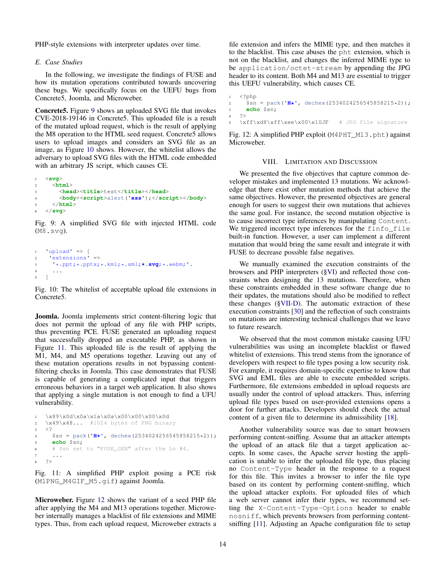PHP-style extensions with interpreter updates over time.

## <span id="page-13-0"></span>*E. Case Studies*

In the following, we investigate the findings of FUSE and how its mutation operations contributed towards uncovering these bugs. We specifically focus on the UEFU bugs from Concrete5, Joomla, and Microweber.

Concrete5. Figure [9](#page-13-1) shows an uploaded SVG file that invokes CVE-2018-19146 in Concrete5. This uploaded file is a result of the mutated upload request, which is the result of applying the M8 operation to the HTML seed request. Concrete5 allows users to upload images and considers an SVG file as an image, as Figure [10](#page-13-2) shows. However, the whitelist allows the adversary to upload SVG files with the HTML code embedded with an arbitrary JS script, which causes CE.

```
1 <svg>
2 <html>
       3 <head><title>test</title></head>
4 <body><script>alert('xss');</script></body>
     5 </html>
6 </svg>
```
Fig. 9: A simplified SVG file with injected HTML code (M8.svg).

```
1 'upload' => [
2 'extensions' =>
3 '*.ppt;*.pptx;*.kml;*.xml;*.svg;*.webm;'.
4 \cdot \cdot \cdot5 ]
```
Fig. 10: The whitelist of acceptable upload file extensions in Concrete5.

Joomla. Joomla implements strict content-filtering logic that does not permit the upload of any file with PHP scripts, thus preventing PCE. FUSE generated an uploading request that successfully dropped an executable PHP, as shown in Figure [11.](#page-13-3) This uploaded file is the result of applying the M1, M4, and M5 operations together. Leaving out any of these mutation operations results in not bypassing contentfiltering checks in Joomla. This case demonstrates that FUSE is capable of generating a complicated input that triggers erroneous behaviors in a target web application. It also shows that applying a single mutation is not enough to find a UFU vulnerability.

```
1 \x89\x0d\x0a\x1a\x0a\x00\x00\x00\x0d
2 \x49\x48... #1024 bytes of PNG binary
3 \leq4 $sn = pack('H*', dechex(2534024256545858215*2));
     5 echo $sn;
6 # $sn set to "FUSE_GEN" after the Ln #4.
7 ...
8 ?>
```
Fig. 11: A simplified PHP exploit posing a PCE risk (M1PNG\_M4GIF\_M5.gif) against Joomla.

Microweber. Figure [12](#page-13-4) shows the variant of a seed PHP file after applying the M4 and M13 operations together. Microweber internally manages a blacklist of file extensions and MIME types. Thus, from each upload request, Microweber extracts a file extension and infers the MIME type, and then matches it to the blacklist. This case abuses the pht extension, which is not on the blacklist, and changes the inferred MIME type to be application/octet-stream by appending the JPG header to its content. Both M4 and M13 are essential to trigger this UEFU vulnerability, which causes CE.

```
1 <?php
2 $sn = pack('H*', dechex(2534024256545858215*2));
     echo $sn;
4 \t 2 >\xff\xd8\xff\xee\x00\x10JF # JPG file signature
```
Fig. 12: A simplified PHP exploit (M4PHT\_M13.pht) against Microweber.

## VIII. LIMITATION AND DISCUSSION

We presented the five objectives that capture common developer mistakes and implemented 13 mutations. We acknowledge that there exist other mutation methods that achieve the same objectives. However, the presented objectives are general enough for users to suggest their own mutations that achieves the same goal. For instance, the second mutation objective is to cause incorrect type inferences by manipulating Content. We triggered incorrect type inferences for the finfo\_file built-in function. However, a user can implement a different mutation that would bring the same result and integrate it with FUSE to decrease possible false negatives.

We manually examined the execution constraints of the browsers and PHP interpreters ([§VI\)](#page-6-1) and reflected those constraints when designing the 13 mutations. Therefore, when these constraints embedded in these software change due to their updates, the mutations should also be modified to reflect these changes ([§VII-D\)](#page-12-0). The automatic extraction of these execution constraints [\[30\]](#page-15-31) and the reflection of such constraints on mutations are interesting technical challenges that we leave to future research.

We observed that the most common mistake causing UFU vulnerabilities was using an incomplete blacklist or flawed whitelist of extensions. This trend stems from the ignorance of developers with respect to file types posing a low security risk. For example, it requires domain-specific expertise to know that SVG and EML files are able to execute embedded scripts. Furthermore, file extensions embedded in upload requests are usually under the control of upload attackers. Thus, inferring upload file types based on user-provided extensions opens a door for further attacks. Developers should check the actual content of a given file to determine its admissibility [\[18\]](#page-15-2).

Another vulnerability source was due to smart browsers performing content-sniffing. Assume that an attacker attempts the upload of an attack file that a target application accepts. In some cases, the Apache server hosting the application is unable to infer the uploaded file type, thus placing no Content-Type header in the response to a request for this file. This invites a browser to infer the file type based on its content by performing content-sniffing, which the upload attacker exploits. For uploaded files of which a web server cannot infer their types, we recommend setting the X-Content-Type-Options header to enable nosniff, which prevents browsers from performing contentsniffing [\[11\]](#page-14-10). Adjusting an Apache configuration file to setup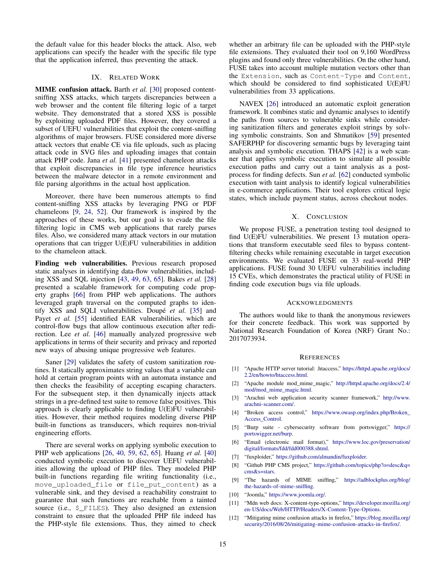the default value for this header blocks the attack. Also, web applications can specify the header with the specific file type that the application inferred, thus preventing the attack.

### IX. RELATED WORK

MIME confusion attack. Barth *et al.* [\[30\]](#page-15-31) proposed contentsniffing XSS attacks, which targets discrepancies between a web browser and the content file filtering logic of a target website. They demonstrated that a stored XSS is possible by exploiting uploaded PDF files. However, they covered a subset of UEFU vulnerabilities that exploit the content-sniffing algorithms of major browsers. FUSE considered more diverse attack vectors that enable CE via file uploads, such as placing attack code in SVG files and uploading images that contain attack PHP code. Jana *et al.* [\[41\]](#page-15-32) presented chameleon attacks that exploit discrepancies in file type inference heuristics between the malware detector in a remote environment and file parsing algorithms in the actual host application.

Moreover, there have been numerous attempts to find content-sniffing XSS attacks by leveraging PNG or PDF chameleons [\[9,](#page-14-11) [24,](#page-15-39) [52\]](#page-15-40). Our framework is inspired by the approaches of these works, but our goal is to evade the file filtering logic in CMS web applications that rarely parses files. Also, we considered many attack vectors in our mutation operations that can trigger U(E)FU vulnerabilities in addition to the chameleon attack.

Finding web vulnerabilities. Previous research proposed static analyses in identifying data-flow vulnerabilities, including XSS and SQL injection [\[43,](#page-15-3) [49,](#page-15-4) [63,](#page-16-0) [65\]](#page-16-1). Bakes *et al.* [\[28\]](#page-15-41) presented a scalable framework for computing code property graphs [\[66\]](#page-16-7) from PHP web applications. The authors leveraged graph traversal on the computed graphs to identify XSS and SQLI vulnerabilities. Doupé *et al.* [\[35\]](#page-15-42) and Payet et al. [\[55\]](#page-15-43) identified EAR vulnerabilities, which are control-flow bugs that allow continuous execution after redirection. Lee *et al.* [\[46\]](#page-15-44) manually analyzed progressive web applications in terms of their security and privacy and reported new ways of abusing unique progressive web features.

Saner [\[29\]](#page-15-5) validates the safety of custom sanitization routines. It statically approximates string values that a variable can hold at certain program points with an automata instance and then checks the feasibility of accepting escaping characters. For the subsequent step, it then dynamically injects attack strings in a pre-defined test suite to remove false positives. This approach is clearly applicable to finding U(E)FU vulnerabilities. However, their method requires modeling diverse PHP built-in functions as transducers, which requires non-trivial engineering efforts.

There are several works on applying symbolic execution to PHP web applications [\[26,](#page-15-7) [40,](#page-15-8) [59,](#page-16-2) [62,](#page-16-3) [65\]](#page-16-1). Huang *et al.* [\[40\]](#page-15-8) conducted symbolic execution to discover UEFU vulnerabilities allowing the upload of PHP files. They modeled PHP built-in functions regarding file writing functionality (i.e., move\_uploaded\_file or file\_put\_content) as a vulnerable sink, and they devised a reachability constraint to guarantee that such functions are reachable from a tainted source (i.e., \$\_FILES). They also designed an extension constraint to ensure that the uploaded PHP file indeed has the PHP-style file extensions. Thus, they aimed to check whether an arbitrary file can be uploaded with the PHP-style file extensions. They evaluated their tool on 9,160 WordPress plugins and found only three vulnerabilities. On the other hand, FUSE takes into account multiple mutation vectors other than the Extension, such as Content-Type and Content, which should be considered to find sophisticated U(E)FU vulnerabilities from 33 applications.

NAVEX [\[26\]](#page-15-7) introduced an automatic exploit generation framework. It combines static and dynamic analyses to identify the paths from sources to vulnerable sinks while considering sanitization filters and generates exploit strings by solving symbolic constraints. Son and Shmatikov [\[59\]](#page-16-2) presented SAFERPHP for discovering semantic bugs by leveraging taint analysis and symbolic execution. THAPS [\[42\]](#page-15-45) is a web scanner that applies symbolic execution to simulate all possible execution paths and carry out a taint analysis as a postprocess for finding defects. Sun *et al.* [\[62\]](#page-16-3) conducted symbolic execution with taint analysis to identify logical vulnerabilities in e-commerce applications. Their tool explores critical logic states, which include payment status, across checkout nodes.

## X. CONCLUSION

We propose FUSE, a penetration testing tool designed to find U(E)FU vulnerabilities. We present 13 mutation operations that transform executable seed files to bypass contentfiltering checks while remaining executable in target execution environments. We evaluated FUSE on 33 real-world PHP applications. FUSE found 30 UEFU vulnerabilities including 15 CVEs, which demonstrates the practical utility of FUSE in finding code execution bugs via file uploads.

### ACKNOWLEDGMENTS

The authors would like to thank the anonymous reviewers for their concrete feedback. This work was supported by National Research Foundation of Korea (NRF) Grant No.: 2017073934.

#### **REFERENCES**

- <span id="page-14-3"></span>[1] "Apache HTTP server tutorial: .htaccess," [https://httpd.apache.org/docs/](https://httpd.apache.org/docs/2.2/en/howto/htaccess.html) [2.2/en/howto/htaccess.html.](https://httpd.apache.org/docs/2.2/en/howto/htaccess.html)
- <span id="page-14-6"></span>[2] "Apache module mod\_mime\_magic," [http://httpd.apache.org/docs/2.4/](http://httpd.apache.org/docs/2.4/mod/mod_mime_magic.html) [mod/mod\\_mime\\_magic.html.](http://httpd.apache.org/docs/2.4/mod/mod_mime_magic.html)
- <span id="page-14-1"></span>[3] "Arachni web application security scanner framework," [http://www.](http://www.arachni-scanner.com/) [arachni-scanner.com/.](http://www.arachni-scanner.com/)
- <span id="page-14-2"></span>[4] "Broken access control," [https://www.owasp.org/index.php/Broken\\_](https://www.owasp.org/index.php/Broken_Access_Control) [Access\\_Control.](https://www.owasp.org/index.php/Broken_Access_Control)
- <span id="page-14-4"></span>[5] "Burp suite - cybersecurity software from portswigger," [https://](https://portswigger.net/burp) [portswigger.net/burp.](https://portswigger.net/burp)
- <span id="page-14-5"></span>[6] "Email (electronic mail format)," [https://www.loc.gov/preservation/](https://www.loc.gov/preservation/digital/formats/fdd/fdd000388.shtml) [digital/formats/fdd/fdd000388.shtml.](https://www.loc.gov/preservation/digital/formats/fdd/fdd000388.shtml)
- <span id="page-14-9"></span>[7] "fuxploider," [https://github.com/almandin/fuxploider.](https://github.com/almandin/fuxploider)
- <span id="page-14-8"></span>[8] "Github PHP CMS project," [https://github.com/topics/php?o=desc&q=](https://github.com/topics/php?o=desc&q=cms&s=stars) [cms&s=stars.](https://github.com/topics/php?o=desc&q=cms&s=stars)
- <span id="page-14-11"></span>[9] "The hazards of MIME sniffing," [https://adblockplus.org/blog/](https://adblockplus.org/blog/the-hazards-of-mime-sniffing) [the-hazards-of-mime-sniffing.](https://adblockplus.org/blog/the-hazards-of-mime-sniffing)
- <span id="page-14-0"></span>[10] "Joomla," [https://www.joomla.org/.](https://www.joomla.org/)
- <span id="page-14-10"></span>[11] "Mdn web docs: X-content-type-options," [https://developer.mozilla.org/](https://developer.mozilla.org/en-US/docs/Web/HTTP/Headers/X-Content-Type-Options) [en-US/docs/Web/HTTP/Headers/X-Content-Type-Options.](https://developer.mozilla.org/en-US/docs/Web/HTTP/Headers/X-Content-Type-Options)
- <span id="page-14-7"></span>[12] "Mitigating mime confusion attacks in firefox," [https://blog.mozilla.org/](https://blog.mozilla.org/security/2016/08/26/mitigating-mime-confusion-attacks-in-firefox/) [security/2016/08/26/mitigating-mime-confusion-attacks-in-firefox/.](https://blog.mozilla.org/security/2016/08/26/mitigating-mime-confusion-attacks-in-firefox/)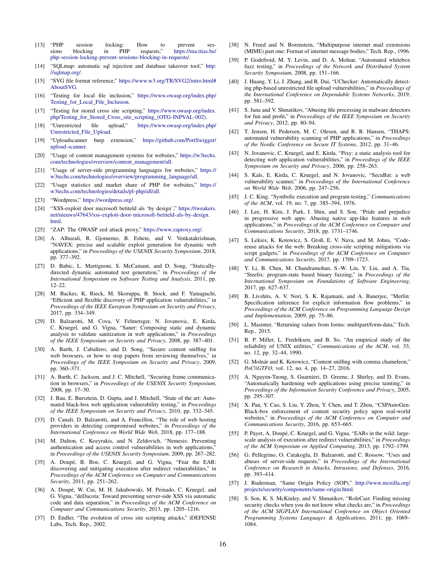- <span id="page-15-37"></span>[13] "PHP session locking: How to prevent ses-<br>sions blocking in PHP requests," https://ma.ttias.be. sions blocking in PHP requests," [https://ma.ttias.be/](https://ma.ttias.be/php-session-locking-prevent-sessions-blocking-in-requests/) [php-session-locking-prevent-sessions-blocking-in-requests/.](https://ma.ttias.be/php-session-locking-prevent-sessions-blocking-in-requests/)
- <span id="page-15-29"></span>[14] "SQLmap: automatic sql injection and database takeover tool," [http:](http://sqlmap.org/) [//sqlmap.org/.](http://sqlmap.org/)
- <span id="page-15-34"></span>[15] "SVG file format reference," [https://www.w3.org/TR/SVG2/intro.html#](https://www.w3.org/TR/SVG2/intro.html#AboutSVG) [AboutSVG.](https://www.w3.org/TR/SVG2/intro.html#AboutSVG)
- <span id="page-15-17"></span>[16] "Testing for local file inclusion," [https://www.owasp.org/index.php/](https://www.owasp.org/index.php/Testing_for_Local_File_Inclusion) [Testing\\_for\\_Local\\_File\\_Inclusion.](https://www.owasp.org/index.php/Testing_for_Local_File_Inclusion)
- <span id="page-15-20"></span>[17] "Testing for stored cross site scripting," [https://www.owasp.org/index.](https://www.owasp.org/index.php/Testing_for_Stored_Cross_site_scripting_(OTG-INPVAL-002)) [php/Testing\\_for\\_Stored\\_Cross\\_site\\_scripting\\_\(OTG-INPVAL-002\).](https://www.owasp.org/index.php/Testing_for_Stored_Cross_site_scripting_(OTG-INPVAL-002))
- <span id="page-15-2"></span>[18] "Unrestricted file upload," [https://www.owasp.org/index.php/](https://www.owasp.org/index.php/Unrestricted_File_Upload) [Unrestricted\\_File\\_Upload.](https://www.owasp.org/index.php/Unrestricted_File_Upload)
- <span id="page-15-38"></span>[19] "Uploadscanner burp extension," [https://github.com/PortSwigger/](https://github.com/PortSwigger/upload-scanner) [upload-scanner.](https://github.com/PortSwigger/upload-scanner)
- <span id="page-15-1"></span>[20] "Usage of content management systems for websites," [https://w3techs.](https://w3techs.com/technologies/overview/content_management/all) [com/technologies/overview/content\\_management/all.](https://w3techs.com/technologies/overview/content_management/all)
- <span id="page-15-13"></span>[21] "Usage of server-side programming languages for websites," [https://](https://w3techs.com/technologies/overview/programming_language/all) [w3techs.com/technologies/overview/programming\\_language/all.](https://w3techs.com/technologies/overview/programming_language/all)
- <span id="page-15-35"></span>[22] "Usage statistics and market share of PHP for websites," [https://](https://w3techs.com/technologies/details/pl-php/all/all) [w3techs.com/technologies/details/pl-php/all/all.](https://w3techs.com/technologies/details/pl-php/all/all)
- <span id="page-15-0"></span>[23] "Wordpress," [https://wordpress.org/.](https://wordpress.org/)
- <span id="page-15-39"></span>[24] "XSS-exploit door microsoft betiteld als 'by design'," [https://tweakers.](https://tweakers.net/nieuws/47643/xss-exploit-door-microsoft-betiteld-als-by-design.html) [net/nieuws/47643/xss-exploit-door-microsoft-betiteld-als-by-design.](https://tweakers.net/nieuws/47643/xss-exploit-door-microsoft-betiteld-als-by-design.html) [html.](https://tweakers.net/nieuws/47643/xss-exploit-door-microsoft-betiteld-als-by-design.html)
- <span id="page-15-30"></span>[25] "ZAP: The OWASP zed attack proxy," [https://www.zaproxy.org/.](https://www.zaproxy.org/)
- <span id="page-15-7"></span>[26] A. Alhuzali, R. Gjomemo, B. Eshete, and V. Venkatakrishnan, "NAVEX: precise and scalable exploit generation for dynamic web applications," in *Proceedings of the USENIX Security Symposium*, 2018, pp. 377–392.
- <span id="page-15-26"></span>[27] D. Babic, L. Martignoni, S. McCamant, and D. Song, "Staticallydirected dynamic automated test generation," in *Proceedings of the International Symposium on Software Testing and Analysis*, 2011, pp. 12–22.
- <span id="page-15-41"></span>[28] M. Backes, K. Rieck, M. Skoruppa, B. Stock, and F. Yamaguchi, "Efficient and flexible discovery of PHP application vulnerabilities," in *Proceedings of the IEEE European Symposium on Security and Privacy*, 2017, pp. 334–349.
- <span id="page-15-5"></span>[29] D. Balzarotti, M. Cova, V. Felmetsger, N. Jovanovic, E. Kirda, C. Kruegel, and G. Vigna, "Saner: Composing static and dynamic analysis to validate sanitization in web applications," in *Proceedings of the IEEE Symposium on Security and Privacy*, 2008, pp. 387–401.
- <span id="page-15-31"></span>[30] A. Barth, J. Caballero, and D. Song, "Secure content sniffing for web browsers, or how to stop papers from reviewing themselves," in *Proceedings of the IEEE Symposium on Security and Privacy*, 2009, pp. 360–371.
- <span id="page-15-18"></span>[31] A. Barth, C. Jackson, and J. C. Mitchell, "Securing frame communication in browsers," in *Proceedings of the USENIX Security Symposium*, 2008, pp. 17–30.
- <span id="page-15-9"></span>[32] J. Bau, E. Bursztein, D. Gupta, and J. Mitchell, "State of the art: Automated black-box web application vulnerability testing," in *Proceedings of the IEEE Symposium on Security and Privacy*, 2010, pp. 332–345.
- <span id="page-15-36"></span>[33] D. Canali, D. Balzarotti, and A. Francillon, "The role of web hosting providers in detecting compromised websites," in *Proceedings of the International Conference on World Wide Web*, 2018, pp. 177–188.
- <span id="page-15-24"></span>[34] M. Dalton, C. Kozyrakis, and N. Zeldovich, "Nemesis: Preventing authentication and access control vulnerabilities in web applications, in *Proceedings of the USENIX Security Symposium*, 2009, pp. 267–282.
- <span id="page-15-42"></span>[35] A. Doupé, B. Boe, C. Kruegel, and G. Vigna, "Fear the EAR: discovering and mitigating execution after redirect vulnerabilities," in *Proceedings of the ACM Conference on Computer and Communications Security*, 2011, pp. 251–262.
- <span id="page-15-21"></span>[36] A. Doupé, W. Cui, M. H. Jakubowski, M. Peinado, C. Kruegel, and G. Vigna, "deDacota: Toward preventing server-side XSS via automatic code and data separation," in *Proceedings of the ACM Conference on Computer and Communications Security*, 2013, pp. 1205–1216.
- <span id="page-15-15"></span>[37] D. Endler, "The evolution of cross site scripting attacks," iDEFENSE Labs, Tech. Rep., 2002.
- <span id="page-15-33"></span>[38] N. Freed and N. Borenstein, "Multipurpose internet mail extensions (MIME) part one: Format of internet message bodies," Tech. Rep., 1996.
- <span id="page-15-27"></span>[39] P. Godefroid, M. Y. Levin, and D. A. Molnar, "Automated whitebox fuzz testing," in *Proceedings of the Network and Distributed System Security Symposium*, 2008, pp. 151–166.
- <span id="page-15-8"></span>[40] J. Huang, Y. Li, J. Zhang, and R. Dai, "UChecker: Automatically detecting php-based unrestricted file upload vulnerabilities," in *Proceedings of the International Conference on Dependable Systems Networks*, 2019, pp. 581–592.
- <span id="page-15-32"></span>[41] S. Jana and V. Shmatikov, "Abusing file processing in malware detectors for fun and profit," in *Proceedings of the IEEE Symposium on Security and Privacy*, 2012, pp. 80–94.
- <span id="page-15-45"></span>[42] T. Jensen, H. Pedersen, M. C. Olesen, and R. R. Hansen, "THAPS: automated vulnerability scanning of PHP applications," in *Proceedings of the Nordic Conference on Secure IT Systems*, 2012, pp. 31–46.
- <span id="page-15-3"></span>[43] N. Jovanovic, C. Kruegel, and E. Kirda, "Pixy: a static analysis tool for detecting web application vulnerabilities," in *Proceedings of the IEEE Symposium on Security and Privacy*, 2006, pp. 258–263.
- <span id="page-15-10"></span>[44] S. Kals, E. Kirda, C. Kruegel, and N. Jovanovic, "SecuBat: a web vulnerability scanner," in *Proceedings of the International Conference on World Wide Web*, 2006, pp. 247–256.
- <span id="page-15-28"></span>[45] J. C. King, "Symbolic execution and program testing," *Communications of the ACM*, vol. 19, no. 7, pp. 385–394, 1976.
- <span id="page-15-44"></span>[46] J. Lee, H. Kim, J. Park, I. Shin, and S. Son, "Pride and prejudice in progressive web apps: Abusing native app-like features in web applications," in *Proceedings of the ACM Conference on Computer and Communications Security*, 2018, pp. 1731–1746.
- <span id="page-15-23"></span>[47] S. Lekies, K. Kotowicz, S. Groß, E. V. Nava, and M. Johns, "Codereuse attacks for the web: Breaking cross-site scripting mitigations via script gadgets," in *Proceedings of the ACM Conference on Computer and Communications Security*, 2017, pp. 1709–1723.
- <span id="page-15-11"></span>[48] Y. Li, B. Chen, M. Chandramohan, S.-W. Lin, Y. Liu, and A. Tiu, "Steelix: program-state based binary fuzzing," in *Proceedings of the International Symposium on Foundations of Software Engineering*, 2017, pp. 627–637.
- <span id="page-15-4"></span>[49] B. Livshits, A. V. Nori, S. K. Rajamani, and A. Banerjee, "Merlin: Specification inference for explicit information flow problems," in *Proceedings of the ACM Conference on Programming Language Design and Implementation*, 2009, pp. 75–86.
- <span id="page-15-14"></span>[50] L. Masinter, "Returning values from forms: multipart/form-data," Tech. Rep., 2015.
- <span id="page-15-12"></span>[51] B. P. Miller, L. Fredriksen, and B. So, "An empirical study of the reliability of UNIX utilities," *Communications of the ACM*, vol. 33, no. 12, pp. 32–44, 1990.
- <span id="page-15-40"></span>[52] G. Molnár and K. Kotowicz, "Content sniffing with comma chameleon," *PoC||GTFO*, vol. 12, no. 4, pp. 14–27, 2016.
- <span id="page-15-6"></span>[53] A. Nguyen-Tuong, S. Guarnieri, D. Greene, J. Shirley, and D. Evans, "Automatically hardening web applications using precise tainting," in *Proceedings of the Information Security Conference and Privacy*, 2005, pp. 295–307.
- <span id="page-15-22"></span>[54] X. Pan, Y. Cao, S. Liu, Y. Zhou, Y. Chen, and T. Zhou, "CSPAutoGen: Black-box enforcement of content security policy upon real-world websites," in *Proceedings of the ACM Conference on Computer and Communications Security*, 2016, pp. 653–665.
- <span id="page-15-43"></span>[55] P. Payet, A. Doupé, C. Kruegel, and G. Vigna, "EARs in the wild: largescale analysis of execution after redirect vulnerabilities," in *Proceedings of the ACM Symposium on Applied Computing*, 2013, pp. 1792–1799.
- <span id="page-15-16"></span>[56] G. Pellegrino, O. Catakoglu, D. Balzarotti, and C. Rossow, "Uses and abuses of server-side requests," in *Proceedings of the International Conference on Research in Attacks, Intrusions, and Defenses*, 2016, pp. 393–414.
- <span id="page-15-19"></span>[57] J. Ruderman, "Same Origin Policy (SOP)," [http://www.mozilla.org/](http://www.mozilla.org/projects/security/components/same-origin.html) [projects/security/components/same-origin.html.](http://www.mozilla.org/projects/security/components/same-origin.html)
- <span id="page-15-25"></span>[58] S. Son, K. S. McKinley, and V. Shmatikov, "RoleCast: Finding missing security checks when you do not know what checks are," in *Proceedings of the ACM SIGPLAN International Conference on Object Oriented Programming Systems Languages & Applications*, 2011, pp. 1069– 1084.